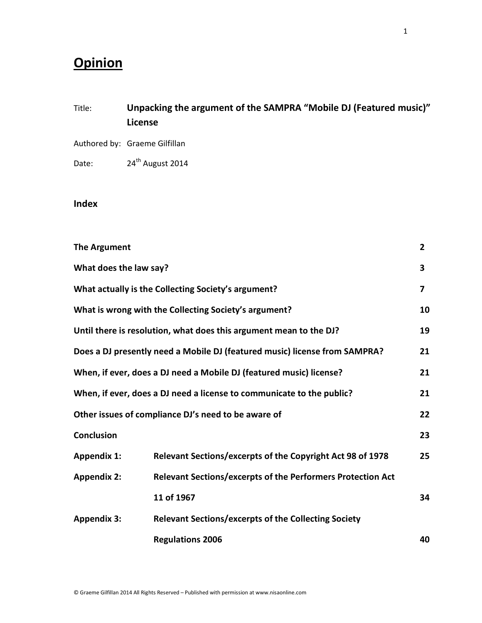## **Opinion**

## Title: **Unpacking the argument of the SAMPRA "Mobile DJ (Featured music)" License**

- Authored by: Graeme Gilfillan
- Date: 24<sup>th</sup> August 2014

## **Index**

| <b>The Argument</b>                                                   |                                                                            | $\overline{2}$ |
|-----------------------------------------------------------------------|----------------------------------------------------------------------------|----------------|
| What does the law say?                                                |                                                                            | 3              |
|                                                                       | What actually is the Collecting Society's argument?                        | 7              |
|                                                                       | What is wrong with the Collecting Society's argument?                      | 10             |
|                                                                       | Until there is resolution, what does this argument mean to the DJ?         | 19             |
|                                                                       | Does a DJ presently need a Mobile DJ (featured music) license from SAMPRA? | 21             |
| When, if ever, does a DJ need a Mobile DJ (featured music) license?   |                                                                            | 21             |
| When, if ever, does a DJ need a license to communicate to the public? |                                                                            | 21             |
| Other issues of compliance DJ's need to be aware of                   |                                                                            | 22             |
| <b>Conclusion</b>                                                     |                                                                            | 23             |
| <b>Appendix 1:</b>                                                    | Relevant Sections/excerpts of the Copyright Act 98 of 1978                 | 25             |
| <b>Appendix 2:</b>                                                    | <b>Relevant Sections/excerpts of the Performers Protection Act</b>         |                |
|                                                                       | 11 of 1967                                                                 | 34             |
| <b>Appendix 3:</b>                                                    | <b>Relevant Sections/excerpts of the Collecting Society</b>                |                |
|                                                                       | <b>Regulations 2006</b>                                                    | 40             |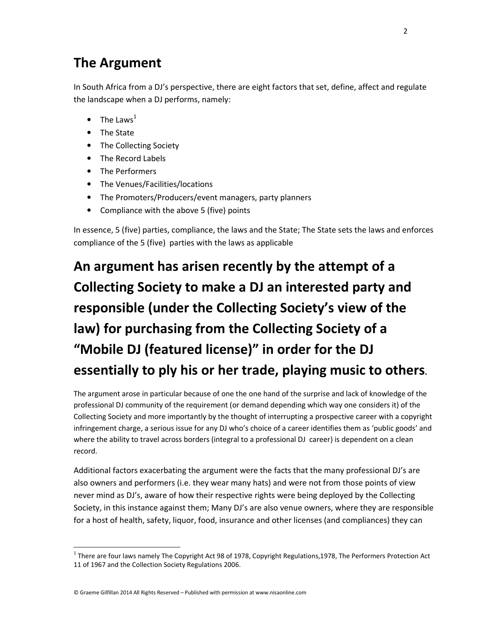# **The Argument**

In South Africa from a DJ's perspective, there are eight factors that set, define, affect and regulate the landscape when a DJ performs, namely:

- The Laws $<sup>1</sup>$ </sup>
- The State

l,

- The Collecting Society
- The Record Labels
- The Performers
- The Venues/Facilities/locations
- The Promoters/Producers/event managers, party planners
- Compliance with the above 5 (five) points

In essence, 5 (five) parties, compliance, the laws and the State; The State sets the laws and enforces compliance of the 5 (five) parties with the laws as applicable

# **An argument has arisen recently by the attempt of a Collecting Society to make a DJ an interested party and responsible (under the Collecting Society's view of the law) for purchasing from the Collecting Society of a "Mobile DJ (featured license)" in order for the DJ essentially to ply his or her trade, playing music to others.**

The argument arose in particular because of one the one hand of the surprise and lack of knowledge of the professional DJ community of the requirement (or demand depending which way one considers it) of the Collecting Society and more importantly by the thought of interrupting a prospective career with a copyright infringement charge, a serious issue for any DJ who's choice of a career identifies them as 'public goods' and where the ability to travel across borders (integral to a professional DJ career) is dependent on a clean record.

Additional factors exacerbating the argument were the facts that the many professional DJ's are also owners and performers (i.e. they wear many hats) and were not from those points of view never mind as DJ's, aware of how their respective rights were being deployed by the Collecting Society, in this instance against them; Many DJ's are also venue owners, where they are responsible for a host of health, safety, liquor, food, insurance and other licenses (and compliances) they can

<sup>&</sup>lt;sup>1</sup> There are four laws namely The Copyright Act 98 of 1978, Copyright Regulations,1978, The Performers Protection Act 11 of 1967 and the Collection Society Regulations 2006.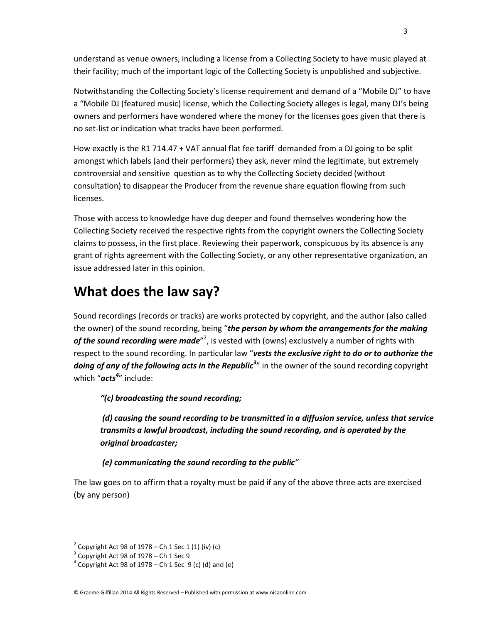understand as venue owners, including a license from a Collecting Society to have music played at their facility; much of the important logic of the Collecting Society is unpublished and subjective.

Notwithstanding the Collecting Society's license requirement and demand of a "Mobile DJ" to have a "Mobile DJ (featured music) license, which the Collecting Society alleges is legal, many DJ's being owners and performers have wondered where the money for the licenses goes given that there is no set-list or indication what tracks have been performed.

How exactly is the R1 714.47 + VAT annual flat fee tariff demanded from a DJ going to be split amongst which labels (and their performers) they ask, never mind the legitimate, but extremely controversial and sensitive question as to why the Collecting Society decided (without consultation) to disappear the Producer from the revenue share equation flowing from such licenses.

Those with access to knowledge have dug deeper and found themselves wondering how the Collecting Society received the respective rights from the copyright owners the Collecting Society claims to possess, in the first place. Reviewing their paperwork, conspicuous by its absence is any grant of rights agreement with the Collecting Society, or any other representative organization, an issue addressed later in this opinion.

## **What does the law say?**

Sound recordings (records or tracks) are works protected by copyright, and the author (also called the owner) of the sound recording, being "*the person by whom the arrangements for the making*  of the sound recording were made<sup>"2</sup>, is vested with (owns) exclusively a number of rights with respect to the sound recording. In particular law "*vests the exclusive right to do or to authorize the* doing of any of the following acts in the Republic<sup>3</sup>" in the owner of the sound recording copyright which "*acts<sup>4</sup>* " include:

*"(c) broadcasting the sound recording;* 

 *(d) causing the sound recording to be transmitted in a diffusion service, unless that service transmits a lawful broadcast, including the sound recording, and is operated by the original broadcaster;* 

 *(e) communicating the sound recording to the public"*

The law goes on to affirm that a royalty must be paid if any of the above three acts are exercised (by any person)

1

 $2^{2}$  Copyright Act 98 of 1978 – Ch 1 Sec 1 (1) (iv) (c)

 $3$  Copyright Act 98 of 1978 – Ch 1 Sec 9

 $4$  Copyright Act 98 of 1978 – Ch 1 Sec 9 (c) (d) and (e)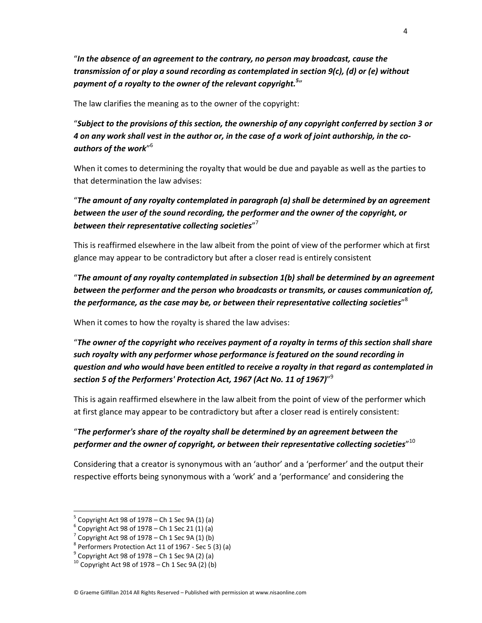"*In the absence of an agreement to the contrary, no person may broadcast, cause the transmission of or play a sound recording as contemplated in section 9(c), (d) or (e) without payment of a royalty to the owner of the relevant copyright.<sup>5</sup>* "

The law clarifies the meaning as to the owner of the copyright:

"*Subject to the provisions of this section, the ownership of any copyright conferred by section 3 or 4 on any work shall vest in the author or, in the case of a work of joint authorship, in the coauthors of the work*" 6

When it comes to determining the royalty that would be due and payable as well as the parties to that determination the law advises:

"*The amount of any royalty contemplated in paragraph (a) shall be determined by an agreement between the user of the sound recording, the performer and the owner of the copyright, or between their representative collecting societies*" 7

This is reaffirmed elsewhere in the law albeit from the point of view of the performer which at first glance may appear to be contradictory but after a closer read is entirely consistent

"*The amount of any royalty contemplated in subsection 1(b) shall be determined by an agreement between the performer and the person who broadcasts or transmits, or causes communication of, the performance, as the case may be, or between their representative collecting societies*" 8

When it comes to how the royalty is shared the law advises:

"*The owner of the copyright who receives payment of a royalty in terms of this section shall share such royalty with any performer whose performance is featured on the sound recording in question and who would have been entitled to receive a royalty in that regard as contemplated in section 5 of the Performers' Protection Act, 1967 (Act No. 11 of 1967)*" 9

This is again reaffirmed elsewhere in the law albeit from the point of view of the performer which at first glance may appear to be contradictory but after a closer read is entirely consistent:

## "*The performer's share of the royalty shall be determined by an agreement between the performer and the owner of copyright, or between their representative collecting societies*" 10

Considering that a creator is synonymous with an 'author' and a 'performer' and the output their respective efforts being synonymous with a 'work' and a 'performance' and considering the

 $5$  Copyright Act 98 of 1978 – Ch 1 Sec 9A (1) (a)

 $6$  Copyright Act 98 of 1978 – Ch 1 Sec 21 (1) (a)

 $7$  Copyright Act 98 of 1978 – Ch 1 Sec 9A (1) (b)

 $8$  Performers Protection Act 11 of 1967 - Sec 5 (3) (a)

 $9^9$  Copyright Act 98 of 1978 – Ch 1 Sec 9A (2) (a)

 $^{10}$  Copyright Act 98 of 1978 – Ch 1 Sec 9A (2) (b)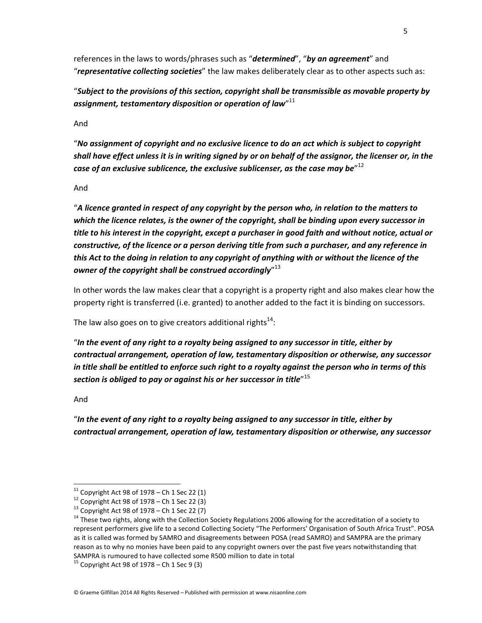references in the laws to words/phrases such as "*determined*", "*by an agreement*" and "*representative collecting societies*" the law makes deliberately clear as to other aspects such as:

"*Subject to the provisions of this section, copyright shall be transmissible as movable property by assignment, testamentary disposition or operation of law*" 11

And

"*No assignment of copyright and no exclusive licence to do an act which is subject to copyright shall have effect unless it is in writing signed by or on behalf of the assignor, the licenser or, in the*  case of an exclusive sublicence, the exclusive sublicenser, as the case may be $^{\prime\prime\,12}$ 

### And

"*A licence granted in respect of any copyright by the person who, in relation to the matters to which the licence relates, is the owner of the copyright, shall be binding upon every successor in title to his interest in the copyright, except a purchaser in good faith and without notice, actual or constructive, of the licence or a person deriving title from such a purchaser, and any reference in this Act to the doing in relation to any copyright of anything with or without the licence of the owner of the copyright shall be construed accordingly*" 13

In other words the law makes clear that a copyright is a property right and also makes clear how the property right is transferred (i.e. granted) to another added to the fact it is binding on successors.

The law also goes on to give creators additional rights $^{14}$ :

"*In the event of any right to a royalty being assigned to any successor in title, either by contractual arrangement, operation of law, testamentary disposition or otherwise, any successor in title shall be entitled to enforce such right to a royalty against the person who in terms of this section is obliged to pay or against his or her successor in title*" 15

And

l,

"*In the event of any right to a royalty being assigned to any successor in title, either by contractual arrangement, operation of law, testamentary disposition or otherwise, any successor* 

 $11$  Copyright Act 98 of 1978 – Ch 1 Sec 22 (1)

 $12$  Copyright Act 98 of 1978 – Ch 1 Sec 22 (3)

 $13$  Copyright Act 98 of 1978 – Ch 1 Sec 22 (7)

<sup>&</sup>lt;sup>14</sup> These two rights, along with the Collection Society Regulations 2006 allowing for the accreditation of a society to represent performers give life to a second Collecting Society "The Performers' Organisation of South Africa Trust". POSA as it is called was formed by SAMRO and disagreements between POSA (read SAMRO) and SAMPRA are the primary reason as to why no monies have been paid to any copyright owners over the past five years notwithstanding that SAMPRA is rumoured to have collected some R500 million to date in total

 $15$  Copyright Act 98 of 1978 – Ch 1 Sec 9 (3)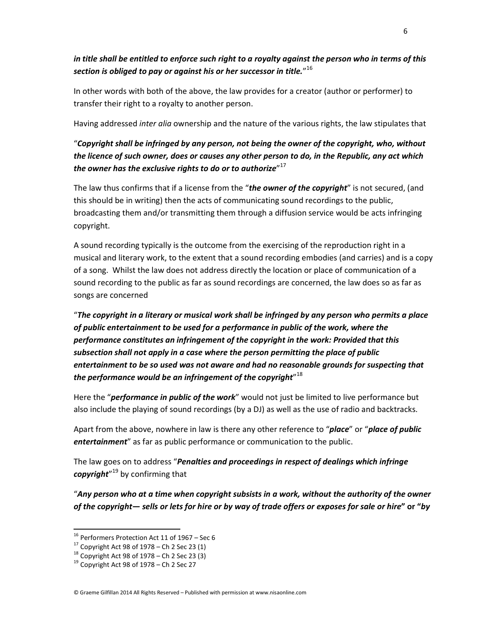*in title shall be entitled to enforce such right to a royalty against the person who in terms of this section is obliged to pay or against his or her successor in title.*" 16

In other words with both of the above, the law provides for a creator (author or performer) to transfer their right to a royalty to another person.

Having addressed *inter alia* ownership and the nature of the various rights, the law stipulates that

## "*Copyright shall be infringed by any person, not being the owner of the copyright, who, without the licence of such owner, does or causes any other person to do, in the Republic, any act which the owner has the exclusive rights to do or to authorize*" 17

The law thus confirms that if a license from the "*the owner of the copyright*" is not secured, (and this should be in writing) then the acts of communicating sound recordings to the public, broadcasting them and/or transmitting them through a diffusion service would be acts infringing copyright.

A sound recording typically is the outcome from the exercising of the reproduction right in a musical and literary work, to the extent that a sound recording embodies (and carries) and is a copy of a song. Whilst the law does not address directly the location or place of communication of a sound recording to the public as far as sound recordings are concerned, the law does so as far as songs are concerned

"*The copyright in a literary or musical work shall be infringed by any person who permits a place of public entertainment to be used for a performance in public of the work, where the performance constitutes an infringement of the copyright in the work: Provided that this subsection shall not apply in a case where the person permitting the place of public entertainment to be so used was not aware and had no reasonable grounds for suspecting that the performance would be an infringement of the copyright*" 18

Here the "*performance in public of the work*" would not just be limited to live performance but also include the playing of sound recordings (by a DJ) as well as the use of radio and backtracks.

Apart from the above, nowhere in law is there any other reference to "*place*" or "*place of public entertainment*" as far as public performance or communication to the public.

The law goes on to address "*Penalties and proceedings in respect of dealings which infringe copyright*" <sup>19</sup> by confirming that

"*Any person who at a time when copyright subsists in a work, without the authority of the owner of the copyright— sells or lets for hire or by way of trade offers or exposes for sale or hire***" or "***by* 

 $^{16}$  Performers Protection Act 11 of 1967 – Sec 6

 $17$  Copyright Act 98 of 1978 – Ch 2 Sec 23 (1)

 $18$  Copyright Act 98 of 1978 – Ch 2 Sec 23 (3)

 $19$  Copyright Act 98 of 1978 – Ch 2 Sec 27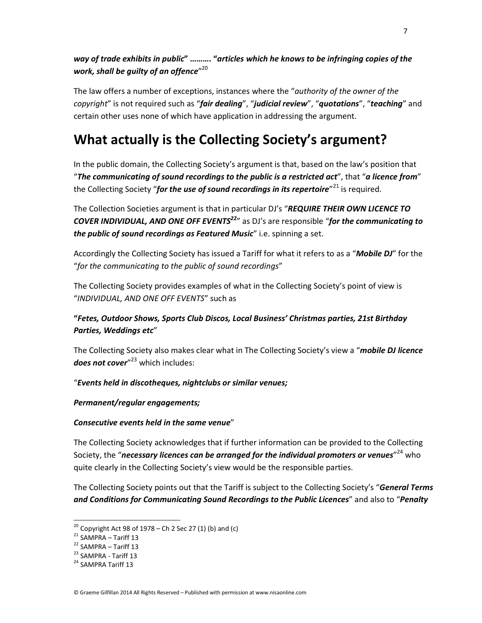## *way of trade exhibits in public***" ………. "***articles which he knows to be infringing copies of the work, shall be guilty of an offence*" 20

The law offers a number of exceptions, instances where the "*authority of the owner of the copyright*" is not required such as "*fair dealing*", "*judicial review*", "*quotations*", "*teaching*" and certain other uses none of which have application in addressing the argument.

# **What actually is the Collecting Society's argument?**

In the public domain, the Collecting Society's argument is that, based on the law's position that "*The communicating of sound recordings to the public is a restricted act*", that "*a licence from*" the Collecting Society "*for the use of sound recordings in its repertoire"<sup>21</sup> is required.* 

The Collection Societies argument is that in particular DJ's "*REQUIRE THEIR OWN LICENCE TO COVER INDIVIDUAL, AND ONE OFF EVENTS<sup>22</sup>*" as DJ's are responsible "*for the communicating to the public of sound recordings as Featured Music*" i.e. spinning a set.

Accordingly the Collecting Society has issued a Tariff for what it refers to as a "*Mobile DJ*" for the "*for the communicating to the public of sound recordings*"

The Collecting Society provides examples of what in the Collecting Society's point of view is "*INDIVIDUAL, AND ONE OFF EVENTS*" such as

## **"***Fetes, Outdoor Shows, Sports Club Discos, Local Business' Christmas parties, 21st Birthday Parties, Weddings etc*"

The Collecting Society also makes clear what in The Collecting Society's view a "*mobile DJ licence does not cover*" <sup>23</sup> which includes:

## "*Events held in discotheques, nightclubs or similar venues;*

### *Permanent/regular engagements;*

### *Consecutive events held in the same venue*"

The Collecting Society acknowledges that if further information can be provided to the Collecting Society, the "*necessary licences can be arranged for the individual promoters or venues*" <sup>24</sup> who quite clearly in the Collecting Society's view would be the responsible parties.

The Collecting Society points out that the Tariff is subject to the Collecting Society's "*General Terms and Conditions for Communicating Sound Recordings to the Public Licences*" and also to "*Penalty* 

l,

© Graeme Gilfillan 2014 All Rights Reserved – Published with permission at www.nisaonline.com

<sup>&</sup>lt;sup>20</sup> Copyright Act 98 of 1978 – Ch 2 Sec 27 (1) (b) and (c)

 $21$  SAMPRA – Tariff 13

<sup>22</sup> SAMPRA – Tariff 13

<sup>&</sup>lt;sup>23</sup> SAMPRA - Tariff 13

<sup>&</sup>lt;sup>24</sup> SAMPRA Tariff 13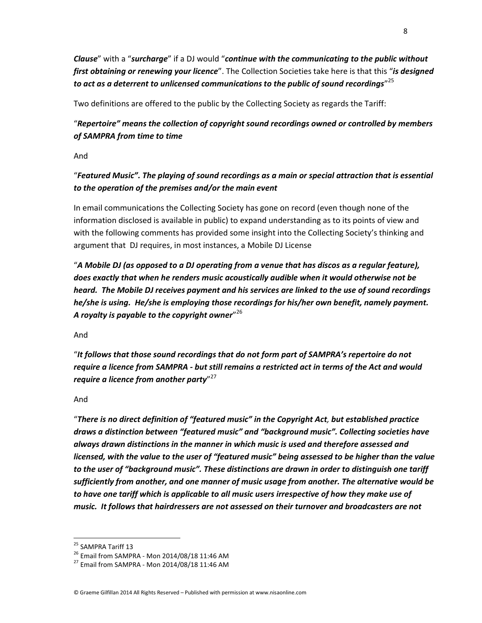*Clause*" with a "*surcharge*" if a DJ would "*continue with the communicating to the public without first obtaining or renewing your licence*". The Collection Societies take here is that this "*is designed to act as a deterrent to unlicensed communications to the public of sound recordings*" 25

Two definitions are offered to the public by the Collecting Society as regards the Tariff:

## "*Repertoire" means the collection of copyright sound recordings owned or controlled by members of SAMPRA from time to time*

And

## "*Featured Music". The playing of sound recordings as a main or special attraction that is essential to the operation of the premises and/or the main event*

In email communications the Collecting Society has gone on record (even though none of the information disclosed is available in public) to expand understanding as to its points of view and with the following comments has provided some insight into the Collecting Society's thinking and argument that DJ requires, in most instances, a Mobile DJ License

"*A Mobile DJ (as opposed to a DJ operating from a venue that has discos as a regular feature), does exactly that when he renders music acoustically audible when it would otherwise not be heard. The Mobile DJ receives payment and his services are linked to the use of sound recordings he/she is using. He/she is employing those recordings for his/her own benefit, namely payment. A royalty is payable to the copyright owner*" 26

And

"*It follows that those sound recordings that do not form part of SAMPRA's repertoire do not require a licence from SAMPRA - but still remains a restricted act in terms of the Act and would require a licence from another party*" 27

### And

"*There is no direct definition of "featured music" in the Copyright Act, but established practice draws a distinction between "featured music" and "background music". Collecting societies have always drawn distinctions in the manner in which music is used and therefore assessed and licensed, with the value to the user of "featured music" being assessed to be higher than the value to the user of "background music". These distinctions are drawn in order to distinguish one tariff sufficiently from another, and one manner of music usage from another. The alternative would be to have one tariff which is applicable to all music users irrespective of how they make use of music. It follows that hairdressers are not assessed on their turnover and broadcasters are not* 

1

<sup>&</sup>lt;sup>25</sup> SAMPRA Tariff 13

<sup>&</sup>lt;sup>26</sup> Email from SAMPRA - Mon 2014/08/18 11:46 AM

<sup>27</sup> Email from SAMPRA - Mon 2014/08/18 11:46 AM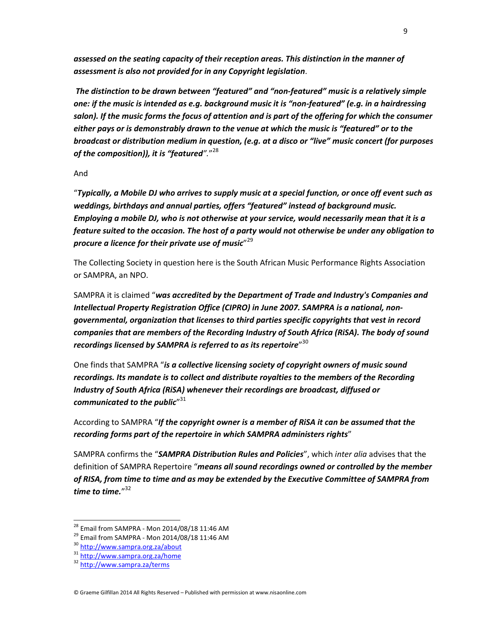*assessed on the seating capacity of their reception areas. This distinction in the manner of assessment is also not provided for in any Copyright legislation*.

*The distinction to be drawn between "featured" and "non-featured" music is a relatively simple one: if the music is intended as e.g. background music it is "non-featured" (e.g. in a hairdressing salon). If the music forms the focus of attention and is part of the offering for which the consumer either pays or is demonstrably drawn to the venue at which the music is "featured" or to the broadcast or distribution medium in question, (e.g. at a disco or "live" music concert (for purposes of the composition)), it is "featured".*" 28

And

"*Typically, a Mobile DJ who arrives to supply music at a special function, or once off event such as weddings, birthdays and annual parties, offers "featured" instead of background music. Employing a mobile DJ, who is not otherwise at your service, would necessarily mean that it is a feature suited to the occasion. The host of a party would not otherwise be under any obligation to procure a licence for their private use of music*" 29

The Collecting Society in question here is the South African Music Performance Rights Association or SAMPRA, an NPO.

SAMPRA it is claimed "*was accredited by the Department of Trade and Industry's Companies and Intellectual Property Registration Office (CIPRO) in June 2007. SAMPRA is a national, nongovernmental, organization that licenses to third parties specific copyrights that vest in record companies that are members of the Recording Industry of South Africa (RiSA). The body of sound recordings licensed by SAMPRA is referred to as its repertoire*" 30

One finds that SAMPRA "*is a collective licensing society of copyright owners of music sound recordings. Its mandate is to collect and distribute royalties to the members of the Recording Industry of South Africa (RiSA) whenever their recordings are broadcast, diffused or communicated to the public*" 31

According to SAMPRA "*If the copyright owner is a member of RiSA it can be assumed that the recording forms part of the repertoire in which SAMPRA administers rights*"

SAMPRA confirms the "*SAMPRA Distribution Rules and Policies*", which *inter alia* advises that the definition of SAMPRA Repertoire "*means all sound recordings owned or controlled by the member of RISA, from time to time and as may be extended by the Executive Committee of SAMPRA from time to time.*" 32

<sup>28</sup> Email from SAMPRA - Mon 2014/08/18 11:46 AM

 $^{29}$  Email from SAMPRA - Mon 2014/08/18 11:46 AM

<sup>30</sup> http://www.sampra.org.za/about

<sup>31</sup> http://www.sampra.org.za/home

<sup>32</sup> http://www.sampra.za/terms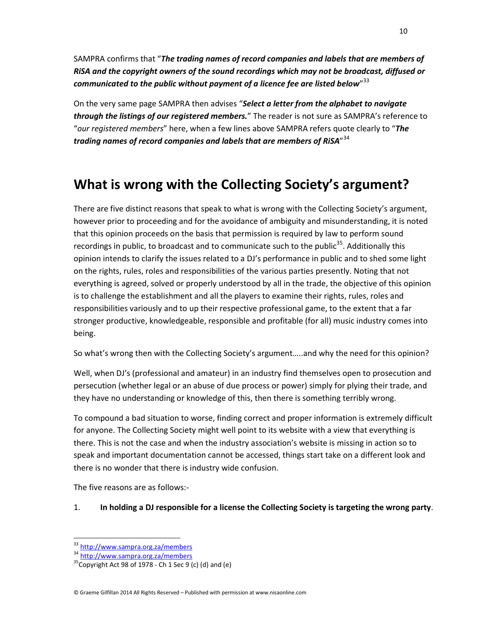SAMPRA confirms that "*The trading names of record companies and labels that are members of RiSA and the copyright owners of the sound recordings which may not be broadcast, diffused or communicated to the public without payment of a licence fee are listed below*" 33

On the very same page SAMPRA then advises "*Select a letter from the alphabet to navigate through the listings of our registered members.*" The reader is not sure as SAMPRA's reference to "*our registered members*" here, when a few lines above SAMPRA refers quote clearly to "*The trading names of record companies and labels that are members of RiSA*" 34

# **What is wrong with the Collecting Society's argument?**

There are five distinct reasons that speak to what is wrong with the Collecting Society's argument, however prior to proceeding and for the avoidance of ambiguity and misunderstanding, it is noted that this opinion proceeds on the basis that permission is required by law to perform sound recordings in public, to broadcast and to communicate such to the public<sup>35</sup>. Additionally this opinion intends to clarify the issues related to a DJ's performance in public and to shed some light on the rights, rules, roles and responsibilities of the various parties presently. Noting that not everything is agreed, solved or properly understood by all in the trade, the objective of this opinion is to challenge the establishment and all the players to examine their rights, rules, roles and responsibilities variously and to up their respective professional game, to the extent that a far stronger productive, knowledgeable, responsible and profitable (for all) music industry comes into being.

So what's wrong then with the Collecting Society's argument…..and why the need for this opinion?

Well, when DJ's (professional and amateur) in an industry find themselves open to prosecution and persecution (whether legal or an abuse of due process or power) simply for plying their trade, and they have no understanding or knowledge of this, then there is something terribly wrong.

To compound a bad situation to worse, finding correct and proper information is extremely difficult for anyone. The Collecting Society might well point to its website with a view that everything is there. This is not the case and when the industry association's website is missing in action so to speak and important documentation cannot be accessed, things start take on a different look and there is no wonder that there is industry wide confusion.

The five reasons are as follows:-

### 1. **In holding a DJ responsible for a license the Collecting Society is targeting the wrong party**.

1

10

<sup>33</sup> http://www.sampra.org.za/members

<sup>34</sup> http://www.sampra.org.za/members

 $35$ Copyright Act 98 of 1978 - Ch 1 Sec 9 (c) (d) and (e)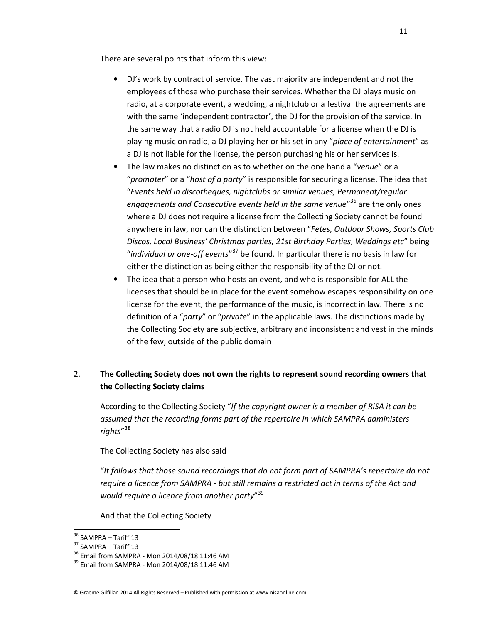There are several points that inform this view:

- DJ's work by contract of service. The vast majority are independent and not the employees of those who purchase their services. Whether the DJ plays music on radio, at a corporate event, a wedding, a nightclub or a festival the agreements are with the same 'independent contractor', the DJ for the provision of the service. In the same way that a radio DJ is not held accountable for a license when the DJ is playing music on radio, a DJ playing her or his set in any "*place of entertainment*" as a DJ is not liable for the license, the person purchasing his or her services is.
- The law makes no distinction as to whether on the one hand a "*venue*" or a "*promoter*" or a "*host of a party*" is responsible for securing a license. The idea that "*Events held in discotheques, nightclubs or similar venues, Permanent/regular engagements and Consecutive events held in the same venue*" <sup>36</sup> are the only ones where a DJ does not require a license from the Collecting Society cannot be found anywhere in law, nor can the distinction between "*Fetes, Outdoor Shows, Sports Club Discos, Local Business' Christmas parties, 21st Birthday Parties, Weddings etc*" being "*individual or one-off events*" <sup>37</sup> be found. In particular there is no basis in law for either the distinction as being either the responsibility of the DJ or not.
- The idea that a person who hosts an event, and who is responsible for ALL the licenses that should be in place for the event somehow escapes responsibility on one license for the event, the performance of the music, is incorrect in law. There is no definition of a "*party*" or "*private*" in the applicable laws. The distinctions made by the Collecting Society are subjective, arbitrary and inconsistent and vest in the minds of the few, outside of the public domain

## 2. **The Collecting Society does not own the rights to represent sound recording owners that the Collecting Society claims**

 According to the Collecting Society "*If the copyright owner is a member of RiSA it can be assumed that the recording forms part of the repertoire in which SAMPRA administers rights*" 38

The Collecting Society has also said

"*It follows that those sound recordings that do not form part of SAMPRA's repertoire do not require a licence from SAMPRA - but still remains a restricted act in terms of the Act and would require a licence from another party*" 39

And that the Collecting Society

l,

© Graeme Gilfillan 2014 All Rights Reserved – Published with permission at www.nisaonline.com

<sup>&</sup>lt;sup>36</sup> SAMPRA – Tariff 13

<sup>37</sup> SAMPRA – Tariff 13

<sup>38</sup> Email from SAMPRA - Mon 2014/08/18 11:46 AM

 $39$  Email from SAMPRA - Mon 2014/08/18 11:46 AM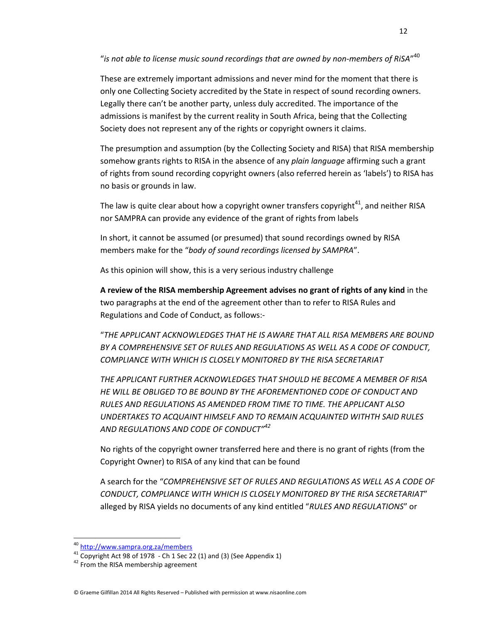"*is not able to license music sound recordings that are owned by non-members of RiSA*" 40

These are extremely important admissions and never mind for the moment that there is only one Collecting Society accredited by the State in respect of sound recording owners. Legally there can't be another party, unless duly accredited. The importance of the admissions is manifest by the current reality in South Africa, being that the Collecting Society does not represent any of the rights or copyright owners it claims.

The presumption and assumption (by the Collecting Society and RISA) that RISA membership somehow grants rights to RISA in the absence of any *plain language* affirming such a grant of rights from sound recording copyright owners (also referred herein as 'labels') to RISA has no basis or grounds in law.

The law is quite clear about how a copyright owner transfers copyright<sup>41</sup>, and neither RISA nor SAMPRA can provide any evidence of the grant of rights from labels

In short, it cannot be assumed (or presumed) that sound recordings owned by RISA members make for the "*body of sound recordings licensed by SAMPRA*".

As this opinion will show, this is a very serious industry challenge

**A review of the RISA membership Agreement advises no grant of rights of any kind** in the two paragraphs at the end of the agreement other than to refer to RISA Rules and Regulations and Code of Conduct, as follows:-

"*THE APPLICANT ACKNOWLEDGES THAT HE IS AWARE THAT ALL RISA MEMBERS ARE BOUND BY A COMPREHENSIVE SET OF RULES AND REGULATIONS AS WELL AS A CODE OF CONDUCT, COMPLIANCE WITH WHICH IS CLOSELY MONITORED BY THE RISA SECRETARIAT*

*THE APPLICANT FURTHER ACKNOWLEDGES THAT SHOULD HE BECOME A MEMBER OF RISA HE WILL BE OBLIGED TO BE BOUND BY THE AFOREMENTIONED CODE OF CONDUCT AND RULES AND REGULATIONS AS AMENDED FROM TIME TO TIME. THE APPLICANT ALSO UNDERTAKES TO ACQUAINT HIMSELF AND TO REMAIN ACQUAINTED WITHTH SAID RULES AND REGULATIONS AND CODE OF CONDUCT"<sup>42</sup>*

No rights of the copyright owner transferred here and there is no grant of rights (from the Copyright Owner) to RISA of any kind that can be found

A search for the "*COMPREHENSIVE SET OF RULES AND REGULATIONS AS WELL AS A CODE OF CONDUCT, COMPLIANCE WITH WHICH IS CLOSELY MONITORED BY THE RISA SECRETARIAT*" alleged by RISA yields no documents of any kind entitled "*RULES AND REGULATIONS*" or

1

<sup>40</sup> http://www.sampra.org.za/members

 $41$  Copyright Act 98 of 1978 - Ch 1 Sec 22 (1) and (3) (See Appendix 1)

<sup>&</sup>lt;sup>42</sup> From the RISA membership agreement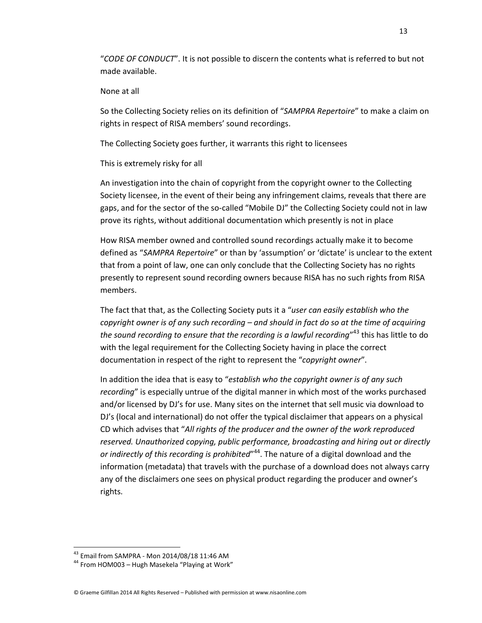"*CODE OF CONDUCT*". It is not possible to discern the contents what is referred to but not made available.

#### None at all

So the Collecting Society relies on its definition of "*SAMPRA Repertoire*" to make a claim on rights in respect of RISA members' sound recordings.

The Collecting Society goes further, it warrants this right to licensees

### This is extremely risky for all

An investigation into the chain of copyright from the copyright owner to the Collecting Society licensee, in the event of their being any infringement claims, reveals that there are gaps, and for the sector of the so-called "Mobile DJ" the Collecting Society could not in law prove its rights, without additional documentation which presently is not in place

How RISA member owned and controlled sound recordings actually make it to become defined as "*SAMPRA Repertoire*" or than by 'assumption' or 'dictate' is unclear to the extent that from a point of law, one can only conclude that the Collecting Society has no rights presently to represent sound recording owners because RISA has no such rights from RISA members.

 The fact that that, as the Collecting Society puts it a "*user can easily establish who the copyright owner is of any such recording – and should in fact do so at the time of acquiring the sound recording to ensure that the recording is a lawful recording*" <sup>43</sup> this has little to do with the legal requirement for the Collecting Society having in place the correct documentation in respect of the right to represent the "*copyright owner*".

In addition the idea that is easy to "*establish who the copyright owner is of any such recording*" is especially untrue of the digital manner in which most of the works purchased and/or licensed by DJ's for use. Many sites on the internet that sell music via download to DJ's (local and international) do not offer the typical disclaimer that appears on a physical CD which advises that "*All rights of the producer and the owner of the work reproduced reserved. Unauthorized copying, public performance, broadcasting and hiring out or directly*  or indirectly of this recording is prohibited"<sup>44</sup>. The nature of a digital download and the information (metadata) that travels with the purchase of a download does not always carry any of the disclaimers one sees on physical product regarding the producer and owner's rights.

<sup>&</sup>lt;sup>43</sup> Email from SAMPRA - Mon 2014/08/18 11:46 AM

<sup>44</sup> From HOM003 – Hugh Masekela "Playing at Work"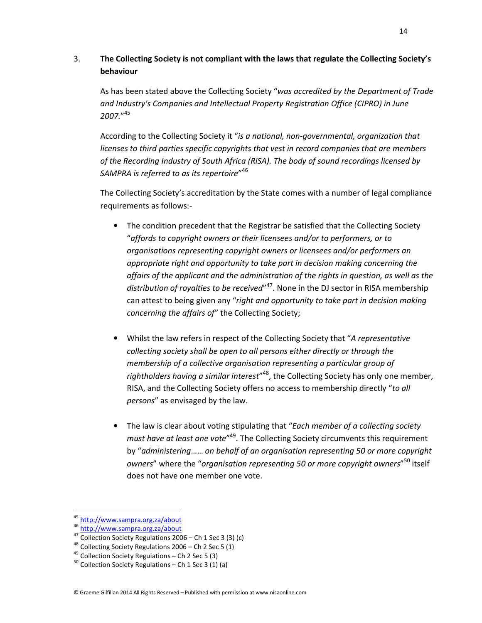## 3. **The Collecting Society is not compliant with the laws that regulate the Collecting Society's behaviour**

 As has been stated above the Collecting Society "*was accredited by the Department of Trade and Industry's Companies and Intellectual Property Registration Office (CIPRO) in June 2007.*" 45

 According to the Collecting Society it "*is a national, non-governmental, organization that licenses to third parties specific copyrights that vest in record companies that are members of the Recording Industry of South Africa (RiSA). The body of sound recordings licensed by SAMPRA is referred to as its repertoire*" 46

 The Collecting Society's accreditation by the State comes with a number of legal compliance requirements as follows:-

- The condition precedent that the Registrar be satisfied that the Collecting Society "*affords to copyright owners or their licensees and/or to performers, or to organisations representing copyright owners or licensees and/or performers an appropriate right and opportunity to take part in decision making concerning the affairs of the applicant and the administration of the rights in question, as well as the distribution of royalties to be received*" <sup>47</sup>. None in the DJ sector in RISA membership can attest to being given any "*right and opportunity to take part in decision making concerning the affairs of*" the Collecting Society;
- Whilst the law refers in respect of the Collecting Society that "*A representative collecting society shall be open to all persons either directly or through the membership of a collective organisation representing a particular group of*  rightholders having a similar interest<sup>148</sup>, the Collecting Society has only one member, RISA, and the Collecting Society offers no access to membership directly "*to all persons*" as envisaged by the law.
- The law is clear about voting stipulating that "*Each member of a collecting society must have at least one vote*" <sup>49</sup>. The Collecting Society circumvents this requirement by "*administering*…… *on behalf of an organisation representing 50 or more copyright owners*" where the "*organisation representing 50 or more copyright owners*" <sup>50</sup> itself does not have one member one vote.

<sup>&</sup>lt;sup>45</sup> http://www.sampra.org.za/about

<sup>46</sup> http://www.sampra.org.za/about

<sup>47</sup> Collection Society Regulations 2006 – Ch 1 Sec 3 (3) (c)

 $48$  Collecting Society Regulations 2006 – Ch 2 Sec 5 (1)

<sup>49</sup> Collection Society Regulations – Ch 2 Sec 5 (3)

 $50$  Collection Society Regulations – Ch 1 Sec 3 (1) (a)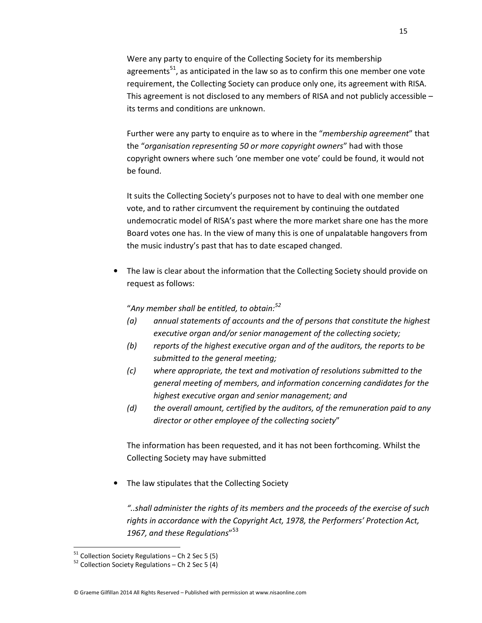Were any party to enquire of the Collecting Society for its membership agreements<sup>51</sup>, as anticipated in the law so as to confirm this one member one vote requirement, the Collecting Society can produce only one, its agreement with RISA. This agreement is not disclosed to any members of RISA and not publicly accessible – its terms and conditions are unknown.

Further were any party to enquire as to where in the "*membership agreement*" that the "*organisation representing 50 or more copyright owners*" had with those copyright owners where such 'one member one vote' could be found, it would not be found.

It suits the Collecting Society's purposes not to have to deal with one member one vote, and to rather circumvent the requirement by continuing the outdated undemocratic model of RISA's past where the more market share one has the more Board votes one has. In the view of many this is one of unpalatable hangovers from the music industry's past that has to date escaped changed.

The law is clear about the information that the Collecting Society should provide on request as follows:

### "*Any member shall be entitled, to obtain:<sup>52</sup>*

- *(a) annual statements of accounts and the of persons that constitute the highest executive organ and/or senior management of the collecting society;*
- *(b) reports of the highest executive organ and of the auditors, the reports to be submitted to the general meeting;*
- *(c) where appropriate, the text and motivation of resolutions submitted to the general meeting of members, and information concerning candidates for the highest executive organ and senior management; and*
- *(d) the overall amount, certified by the auditors, of the remuneration paid to any director or other employee of the collecting society*"

The information has been requested, and it has not been forthcoming. Whilst the Collecting Society may have submitted

• The law stipulates that the Collecting Society

*"..shall administer the rights of its members and the proceeds of the exercise of such rights in accordance with the Copyright Act, 1978, the Performers' Protection Act, 1967, and these Regulations*" 53

 $51$  Collection Society Regulations – Ch 2 Sec 5 (5)

 $52$  Collection Society Regulations – Ch 2 Sec 5 (4)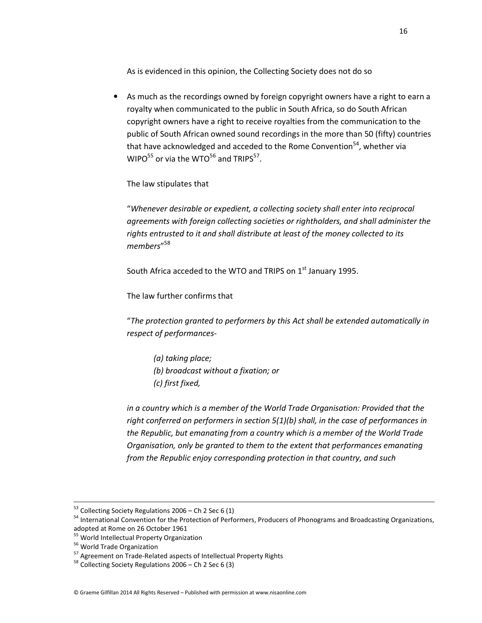As is evidenced in this opinion, the Collecting Society does not do so

As much as the recordings owned by foreign copyright owners have a right to earn a royalty when communicated to the public in South Africa, so do South African copyright owners have a right to receive royalties from the communication to the public of South African owned sound recordings in the more than 50 (fifty) countries that have acknowledged and acceded to the Rome Convention<sup>54</sup>, whether via WIPO $^{55}$  or via the WTO $^{56}$  and TRIPS $^{57}$ .

The law stipulates that

"*Whenever desirable or expedient, a collecting society shall enter into reciprocal agreements with foreign collecting societies or rightholders, and shall administer the rights entrusted to it and shall distribute at least of the money collected to its members*" 58

South Africa acceded to the WTO and TRIPS on  $1<sup>st</sup>$  January 1995.

The law further confirms that

"*The protection granted to performers by this Act shall be extended automatically in respect of performances-* 

*(a) taking place; (b) broadcast without a fixation; or (c) first fixed,* 

*in a country which is a member of the World Trade Organisation: Provided that the right conferred on performers in section 5(1)(b) shall, in the case of performances in the Republic, but emanating from a country which is a member of the World Trade Organisation, only be granted to them to the extent that performances emanating from the Republic enjoy corresponding protection in that country, and such* 

l

 $53$  Collecting Society Regulations 2006 – Ch 2 Sec 6 (1)

<sup>54</sup> International Convention for the Protection of Performers, Producers of Phonograms and Broadcasting Organizations, adopted at Rome on 26 October 1961

<sup>&</sup>lt;sup>55</sup> World Intellectual Property Organization

<sup>&</sup>lt;sup>56</sup> World Trade Organization

<sup>&</sup>lt;sup>57</sup> Agreement on Trade-Related aspects of Intellectual Property Rights

<sup>58</sup> Collecting Society Regulations 2006 – Ch 2 Sec 6 (3)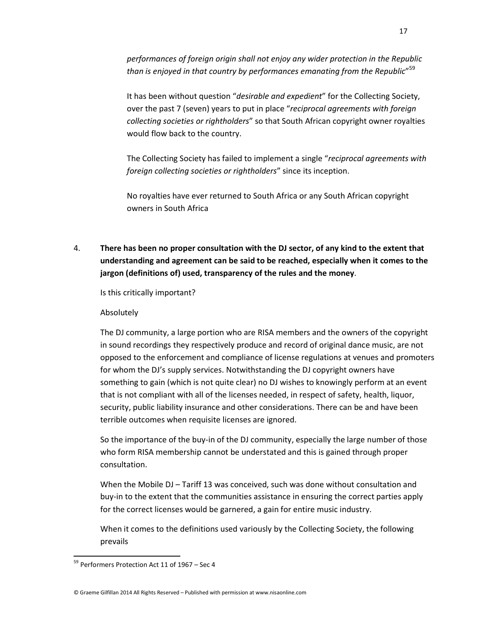*performances of foreign origin shall not enjoy any wider protection in the Republic than is enjoyed in that country by performances emanating from the Republic*" 59

It has been without question "*desirable and expedient*" for the Collecting Society, over the past 7 (seven) years to put in place "*reciprocal agreements with foreign collecting societies or rightholders*" so that South African copyright owner royalties would flow back to the country.

The Collecting Society has failed to implement a single "*reciprocal agreements with foreign collecting societies or rightholders*" since its inception.

No royalties have ever returned to South Africa or any South African copyright owners in South Africa

4. **There has been no proper consultation with the DJ sector, of any kind to the extent that understanding and agreement can be said to be reached, especially when it comes to the jargon (definitions of) used, transparency of the rules and the money**.

Is this critically important?

### Absolutely

The DJ community, a large portion who are RISA members and the owners of the copyright in sound recordings they respectively produce and record of original dance music, are not opposed to the enforcement and compliance of license regulations at venues and promoters for whom the DJ's supply services. Notwithstanding the DJ copyright owners have something to gain (which is not quite clear) no DJ wishes to knowingly perform at an event that is not compliant with all of the licenses needed, in respect of safety, health, liquor, security, public liability insurance and other considerations. There can be and have been terrible outcomes when requisite licenses are ignored.

So the importance of the buy-in of the DJ community, especially the large number of those who form RISA membership cannot be understated and this is gained through proper consultation.

When the Mobile DJ – Tariff 13 was conceived, such was done without consultation and buy-in to the extent that the communities assistance in ensuring the correct parties apply for the correct licenses would be garnered, a gain for entire music industry.

When it comes to the definitions used variously by the Collecting Society, the following prevails

 $\overline{a}$ 

<sup>&</sup>lt;sup>59</sup> Performers Protection Act 11 of 1967 - Sec 4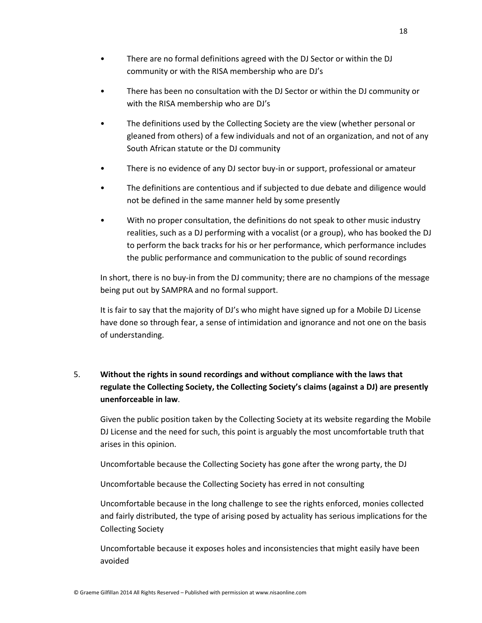- There are no formal definitions agreed with the DJ Sector or within the DJ community or with the RISA membership who are DJ's
- There has been no consultation with the DJ Sector or within the DJ community or with the RISA membership who are DJ's
- The definitions used by the Collecting Society are the view (whether personal or gleaned from others) of a few individuals and not of an organization, and not of any South African statute or the DJ community
- There is no evidence of any DJ sector buy-in or support, professional or amateur
- The definitions are contentious and if subjected to due debate and diligence would not be defined in the same manner held by some presently
- With no proper consultation, the definitions do not speak to other music industry realities, such as a DJ performing with a vocalist (or a group), who has booked the DJ to perform the back tracks for his or her performance, which performance includes the public performance and communication to the public of sound recordings

 In short, there is no buy-in from the DJ community; there are no champions of the message being put out by SAMPRA and no formal support.

 It is fair to say that the majority of DJ's who might have signed up for a Mobile DJ License have done so through fear, a sense of intimidation and ignorance and not one on the basis of understanding.

## 5. **Without the rights in sound recordings and without compliance with the laws that regulate the Collecting Society, the Collecting Society's claims (against a DJ) are presently unenforceable in law**.

Given the public position taken by the Collecting Society at its website regarding the Mobile DJ License and the need for such, this point is arguably the most uncomfortable truth that arises in this opinion.

Uncomfortable because the Collecting Society has gone after the wrong party, the DJ

Uncomfortable because the Collecting Society has erred in not consulting

Uncomfortable because in the long challenge to see the rights enforced, monies collected and fairly distributed, the type of arising posed by actuality has serious implications for the Collecting Society

Uncomfortable because it exposes holes and inconsistencies that might easily have been avoided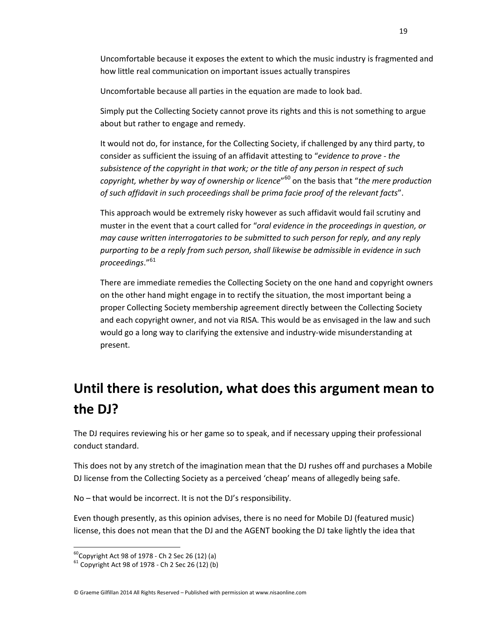Uncomfortable because it exposes the extent to which the music industry is fragmented and how little real communication on important issues actually transpires

Uncomfortable because all parties in the equation are made to look bad.

Simply put the Collecting Society cannot prove its rights and this is not something to argue about but rather to engage and remedy.

It would not do, for instance, for the Collecting Society, if challenged by any third party, to consider as sufficient the issuing of an affidavit attesting to "*evidence to prove - the subsistence of the copyright in that work; or the title of any person in respect of such copyright, whether by way of ownership or licence*" <sup>60</sup> on the basis that "*the mere production of such affidavit in such proceedings shall be prima facie proof of the relevant facts*".

This approach would be extremely risky however as such affidavit would fail scrutiny and muster in the event that a court called for "*oral evidence in the proceedings in question, or may cause written interrogatories to be submitted to such person for reply, and any reply purporting to be a reply from such person, shall likewise be admissible in evidence in such proceedings*."<sup>61</sup>

There are immediate remedies the Collecting Society on the one hand and copyright owners on the other hand might engage in to rectify the situation, the most important being a proper Collecting Society membership agreement directly between the Collecting Society and each copyright owner, and not via RISA. This would be as envisaged in the law and such would go a long way to clarifying the extensive and industry-wide misunderstanding at present.

# **Until there is resolution, what does this argument mean to the DJ?**

The DJ requires reviewing his or her game so to speak, and if necessary upping their professional conduct standard.

This does not by any stretch of the imagination mean that the DJ rushes off and purchases a Mobile DJ license from the Collecting Society as a perceived 'cheap' means of allegedly being safe.

No – that would be incorrect. It is not the DJ's responsibility.

Even though presently, as this opinion advises, there is no need for Mobile DJ (featured music) license, this does not mean that the DJ and the AGENT booking the DJ take lightly the idea that

 $^{60}$ Copyright Act 98 of 1978 - Ch 2 Sec 26 (12) (a)

 $61$  Copyright Act 98 of 1978 - Ch 2 Sec 26 (12) (b)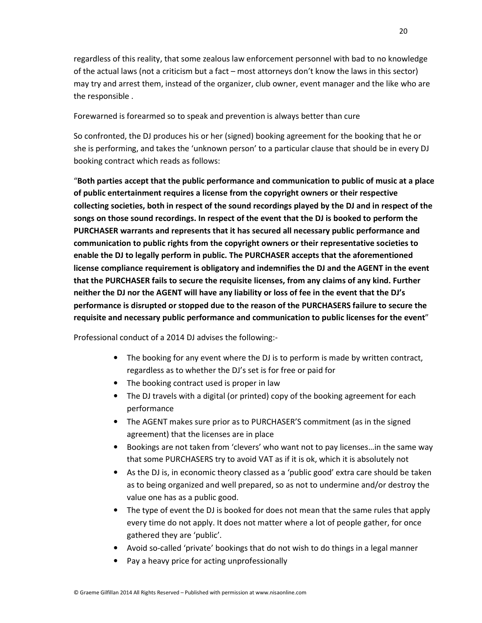regardless of this reality, that some zealous law enforcement personnel with bad to no knowledge of the actual laws (not a criticism but a fact – most attorneys don't know the laws in this sector) may try and arrest them, instead of the organizer, club owner, event manager and the like who are the responsible .

Forewarned is forearmed so to speak and prevention is always better than cure

So confronted, the DJ produces his or her (signed) booking agreement for the booking that he or she is performing, and takes the 'unknown person' to a particular clause that should be in every DJ booking contract which reads as follows:

"**Both parties accept that the public performance and communication to public of music at a place of public entertainment requires a license from the copyright owners or their respective collecting societies, both in respect of the sound recordings played by the DJ and in respect of the songs on those sound recordings. In respect of the event that the DJ is booked to perform the PURCHASER warrants and represents that it has secured all necessary public performance and communication to public rights from the copyright owners or their representative societies to enable the DJ to legally perform in public. The PURCHASER accepts that the aforementioned license compliance requirement is obligatory and indemnifies the DJ and the AGENT in the event that the PURCHASER fails to secure the requisite licenses, from any claims of any kind. Further neither the DJ nor the AGENT will have any liability or loss of fee in the event that the DJ's performance is disrupted or stopped due to the reason of the PURCHASERS failure to secure the requisite and necessary public performance and communication to public licenses for the event**"

Professional conduct of a 2014 DJ advises the following:-

- The booking for any event where the DJ is to perform is made by written contract, regardless as to whether the DJ's set is for free or paid for
- The booking contract used is proper in law
- The DJ travels with a digital (or printed) copy of the booking agreement for each performance
- The AGENT makes sure prior as to PURCHASER'S commitment (as in the signed agreement) that the licenses are in place
- Bookings are not taken from 'clevers' who want not to pay licenses…in the same way that some PURCHASERS try to avoid VAT as if it is ok, which it is absolutely not
- As the DJ is, in economic theory classed as a 'public good' extra care should be taken as to being organized and well prepared, so as not to undermine and/or destroy the value one has as a public good.
- The type of event the DJ is booked for does not mean that the same rules that apply every time do not apply. It does not matter where a lot of people gather, for once gathered they are 'public'.
- Avoid so-called 'private' bookings that do not wish to do things in a legal manner
- Pay a heavy price for acting unprofessionally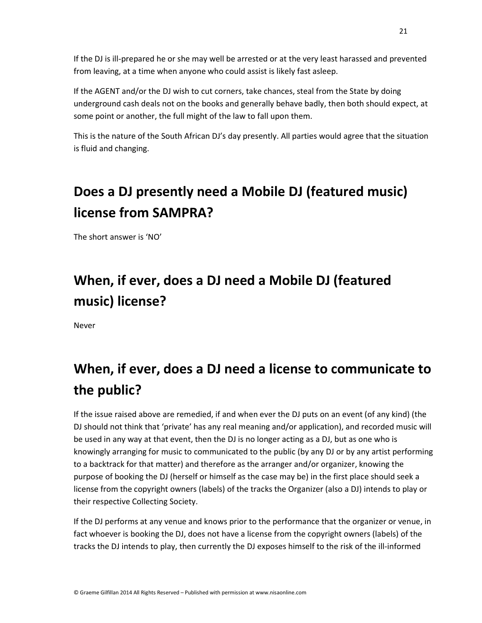If the DJ is ill-prepared he or she may well be arrested or at the very least harassed and prevented from leaving, at a time when anyone who could assist is likely fast asleep.

If the AGENT and/or the DJ wish to cut corners, take chances, steal from the State by doing underground cash deals not on the books and generally behave badly, then both should expect, at some point or another, the full might of the law to fall upon them.

This is the nature of the South African DJ's day presently. All parties would agree that the situation is fluid and changing.

# **Does a DJ presently need a Mobile DJ (featured music) license from SAMPRA?**

The short answer is 'NO'

# **When, if ever, does a DJ need a Mobile DJ (featured music) license?**

Never

# **When, if ever, does a DJ need a license to communicate to the public?**

If the issue raised above are remedied, if and when ever the DJ puts on an event (of any kind) (the DJ should not think that 'private' has any real meaning and/or application), and recorded music will be used in any way at that event, then the DJ is no longer acting as a DJ, but as one who is knowingly arranging for music to communicated to the public (by any DJ or by any artist performing to a backtrack for that matter) and therefore as the arranger and/or organizer, knowing the purpose of booking the DJ (herself or himself as the case may be) in the first place should seek a license from the copyright owners (labels) of the tracks the Organizer (also a DJ) intends to play or their respective Collecting Society.

If the DJ performs at any venue and knows prior to the performance that the organizer or venue, in fact whoever is booking the DJ, does not have a license from the copyright owners (labels) of the tracks the DJ intends to play, then currently the DJ exposes himself to the risk of the ill-informed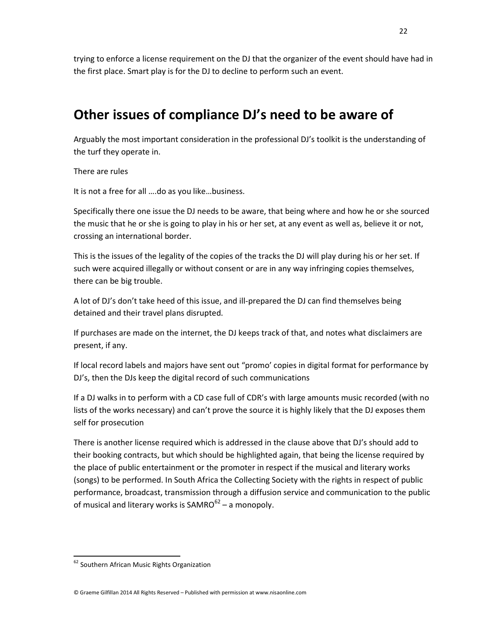trying to enforce a license requirement on the DJ that the organizer of the event should have had in the first place. Smart play is for the DJ to decline to perform such an event.

## **Other issues of compliance DJ's need to be aware of**

Arguably the most important consideration in the professional DJ's toolkit is the understanding of the turf they operate in.

There are rules

It is not a free for all ….do as you like…business.

Specifically there one issue the DJ needs to be aware, that being where and how he or she sourced the music that he or she is going to play in his or her set, at any event as well as, believe it or not, crossing an international border.

This is the issues of the legality of the copies of the tracks the DJ will play during his or her set. If such were acquired illegally or without consent or are in any way infringing copies themselves, there can be big trouble.

A lot of DJ's don't take heed of this issue, and ill-prepared the DJ can find themselves being detained and their travel plans disrupted.

If purchases are made on the internet, the DJ keeps track of that, and notes what disclaimers are present, if any.

If local record labels and majors have sent out "promo' copies in digital format for performance by DJ's, then the DJs keep the digital record of such communications

If a DJ walks in to perform with a CD case full of CDR's with large amounts music recorded (with no lists of the works necessary) and can't prove the source it is highly likely that the DJ exposes them self for prosecution

There is another license required which is addressed in the clause above that DJ's should add to their booking contracts, but which should be highlighted again, that being the license required by the place of public entertainment or the promoter in respect if the musical and literary works (songs) to be performed. In South Africa the Collecting Society with the rights in respect of public performance, broadcast, transmission through a diffusion service and communication to the public of musical and literary works is SAMRO $62 - a$  monopoly.

 $\overline{a}$ 

© Graeme Gilfillan 2014 All Rights Reserved – Published with permission at www.nisaonline.com

<sup>&</sup>lt;sup>62</sup> Southern African Music Rights Organization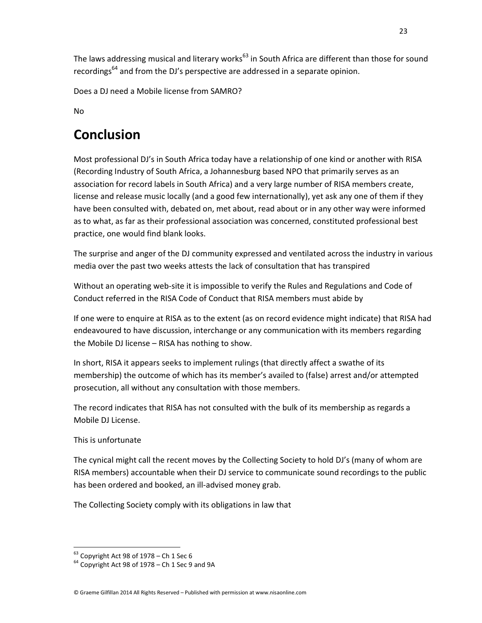The laws addressing musical and literary works<sup>63</sup> in South Africa are different than those for sound recordings<sup>64</sup> and from the DJ's perspective are addressed in a separate opinion.

Does a DJ need a Mobile license from SAMRO?

No

# **Conclusion**

Most professional DJ's in South Africa today have a relationship of one kind or another with RISA (Recording Industry of South Africa, a Johannesburg based NPO that primarily serves as an association for record labels in South Africa) and a very large number of RISA members create, license and release music locally (and a good few internationally), yet ask any one of them if they have been consulted with, debated on, met about, read about or in any other way were informed as to what, as far as their professional association was concerned, constituted professional best practice, one would find blank looks.

The surprise and anger of the DJ community expressed and ventilated across the industry in various media over the past two weeks attests the lack of consultation that has transpired

Without an operating web-site it is impossible to verify the Rules and Regulations and Code of Conduct referred in the RISA Code of Conduct that RISA members must abide by

If one were to enquire at RISA as to the extent (as on record evidence might indicate) that RISA had endeavoured to have discussion, interchange or any communication with its members regarding the Mobile DJ license – RISA has nothing to show.

In short, RISA it appears seeks to implement rulings (that directly affect a swathe of its membership) the outcome of which has its member's availed to (false) arrest and/or attempted prosecution, all without any consultation with those members.

The record indicates that RISA has not consulted with the bulk of its membership as regards a Mobile DJ License.

## This is unfortunate

l,

The cynical might call the recent moves by the Collecting Society to hold DJ's (many of whom are RISA members) accountable when their DJ service to communicate sound recordings to the public has been ordered and booked, an ill-advised money grab.

The Collecting Society comply with its obligations in law that

 $63$  Copyright Act 98 of 1978 – Ch 1 Sec 6

 $64$  Copyright Act 98 of 1978 – Ch 1 Sec 9 and 9A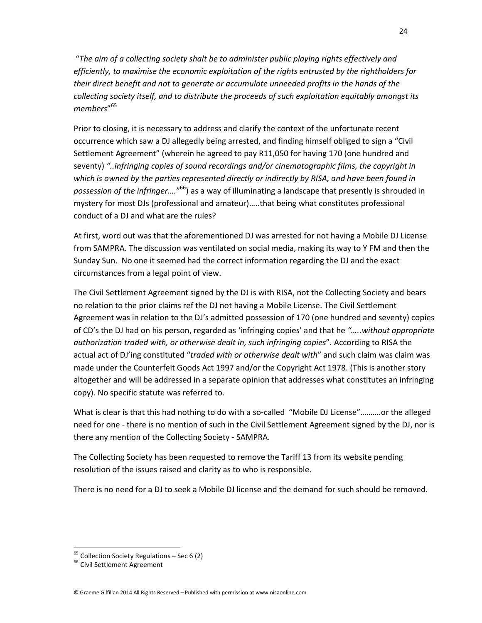"*The aim of a collecting society shalt be to administer public playing rights effectively and efficiently, to maximise the economic exploitation of the rights entrusted by the rightholders for their direct benefit and not to generate or accumulate unneeded profits in the hands of the collecting society itself, and to distribute the proceeds of such exploitation equitably amongst its members*" 65

Prior to closing, it is necessary to address and clarify the context of the unfortunate recent occurrence which saw a DJ allegedly being arrested, and finding himself obliged to sign a "Civil Settlement Agreement" (wherein he agreed to pay R11,050 for having 170 (one hundred and seventy) *"..infringing copies of sound recordings and/or cinematographic films, the copyright in which is owned by the parties represented directly or indirectly by RISA, and have been found in possession of the infringer….*" <sup>66</sup>) as a way of illuminating a landscape that presently is shrouded in mystery for most DJs (professional and amateur)…..that being what constitutes professional conduct of a DJ and what are the rules?

At first, word out was that the aforementioned DJ was arrested for not having a Mobile DJ License from SAMPRA. The discussion was ventilated on social media, making its way to Y FM and then the Sunday Sun. No one it seemed had the correct information regarding the DJ and the exact circumstances from a legal point of view.

The Civil Settlement Agreement signed by the DJ is with RISA, not the Collecting Society and bears no relation to the prior claims ref the DJ not having a Mobile License. The Civil Settlement Agreement was in relation to the DJ's admitted possession of 170 (one hundred and seventy) copies of CD's the DJ had on his person, regarded as 'infringing copies' and that he *"…..without appropriate authorization traded with, or otherwise dealt in, such infringing copies*". According to RISA the actual act of DJ'ing constituted "*traded with or otherwise dealt with*" and such claim was claim was made under the Counterfeit Goods Act 1997 and/or the Copyright Act 1978. (This is another story altogether and will be addressed in a separate opinion that addresses what constitutes an infringing copy). No specific statute was referred to.

What is clear is that this had nothing to do with a so-called "Mobile DJ License"……….or the alleged need for one - there is no mention of such in the Civil Settlement Agreement signed by the DJ, nor is there any mention of the Collecting Society - SAMPRA.

The Collecting Society has been requested to remove the Tariff 13 from its website pending resolution of the issues raised and clarity as to who is responsible.

There is no need for a DJ to seek a Mobile DJ license and the demand for such should be removed.

l,

© Graeme Gilfillan 2014 All Rights Reserved – Published with permission at www.nisaonline.com

 $65$  Collection Society Regulations – Sec 6 (2)

<sup>&</sup>lt;sup>66</sup> Civil Settlement Agreement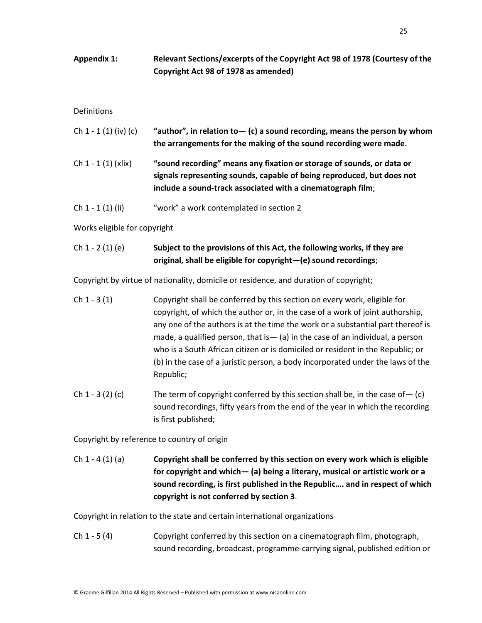**Appendix 1: Relevant Sections/excerpts of the Copyright Act 98 of 1978 (Courtesy of the Copyright Act 98 of 1978 as amended)** 

### **Definitions**

| Ch $1 - 1 (1) (iv) (c)$ | "author", in relation to $-$ (c) a sound recording, means the person by whom<br>the arrangements for the making of the sound recording were made.                                                              |
|-------------------------|----------------------------------------------------------------------------------------------------------------------------------------------------------------------------------------------------------------|
| Ch 1 - 1 (1) (xlix)     | "sound recording" means any fixation or storage of sounds, or data or<br>signals representing sounds, capable of being reproduced, but does not<br>include a sound-track associated with a cinematograph film; |

Ch 1 - 1 (1) (li) "work" a work contemplated in section 2

Works eligible for copyright

### Ch 1 - 2 (1) (e) **Subject to the provisions of this Act, the following works, if they are original, shall be eligible for copyright—(e) sound recordings**;

Copyright by virtue of nationality, domicile or residence, and duration of copyright;

- Ch 1 3 (1) Copyright shall be conferred by this section on every work, eligible for copyright, of which the author or, in the case of a work of joint authorship, any one of the authors is at the time the work or a substantial part thereof is made, a qualified person, that is— (a) in the case of an individual, a person who is a South African citizen or is domiciled or resident in the Republic; or (b) in the case of a juristic person, a body incorporated under the laws of the Republic;
- Ch 1 3 (2) (c) The term of copyright conferred by this section shall be, in the case of  $-$  (c) sound recordings, fifty years from the end of the year in which the recording is first published;

Copyright by reference to country of origin

Ch 1 - 4 (1) (a) **Copyright shall be conferred by this section on every work which is eligible for copyright and which— (a) being a literary, musical or artistic work or a sound recording, is first published in the Republic…. and in respect of which copyright is not conferred by section 3**.

Copyright in relation to the state and certain international organizations

Ch 1 - 5 (4) Copyright conferred by this section on a cinematograph film, photograph, sound recording, broadcast, programme-carrying signal, published edition or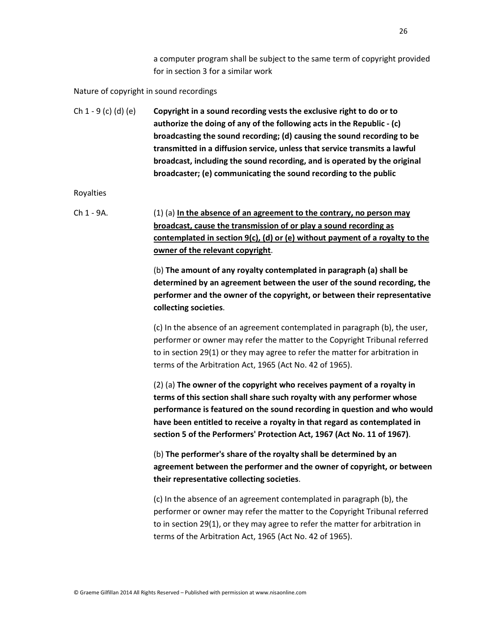a computer program shall be subject to the same term of copyright provided for in section 3 for a similar work

### Nature of copyright in sound recordings

Ch 1 - 9 (c) (d) (e) **Copyright in a sound recording vests the exclusive right to do or to authorize the doing of any of the following acts in the Republic - (c) broadcasting the sound recording; (d) causing the sound recording to be transmitted in a diffusion service, unless that service transmits a lawful broadcast, including the sound recording, and is operated by the original broadcaster; (e) communicating the sound recording to the public** 

Royalties

Ch 1 - 9A. (1) (a) **In the absence of an agreement to the contrary, no person may broadcast, cause the transmission of or play a sound recording as contemplated in section 9(c), (d) or (e) without payment of a royalty to the owner of the relevant copyright**.

> (b) **The amount of any royalty contemplated in paragraph (a) shall be determined by an agreement between the user of the sound recording, the performer and the owner of the copyright, or between their representative collecting societies**.

> (c) In the absence of an agreement contemplated in paragraph (b), the user, performer or owner may refer the matter to the Copyright Tribunal referred to in section 29(1) or they may agree to refer the matter for arbitration in terms of the Arbitration Act, 1965 (Act No. 42 of 1965).

(2) (a) **The owner of the copyright who receives payment of a royalty in terms of this section shall share such royalty with any performer whose performance is featured on the sound recording in question and who would have been entitled to receive a royalty in that regard as contemplated in section 5 of the Performers' Protection Act, 1967 (Act No. 11 of 1967)**.

(b) **The performer's share of the royalty shall be determined by an agreement between the performer and the owner of copyright, or between their representative collecting societies**.

(c) In the absence of an agreement contemplated in paragraph (b), the performer or owner may refer the matter to the Copyright Tribunal referred to in section 29(1), or they may agree to refer the matter for arbitration in terms of the Arbitration Act, 1965 (Act No. 42 of 1965).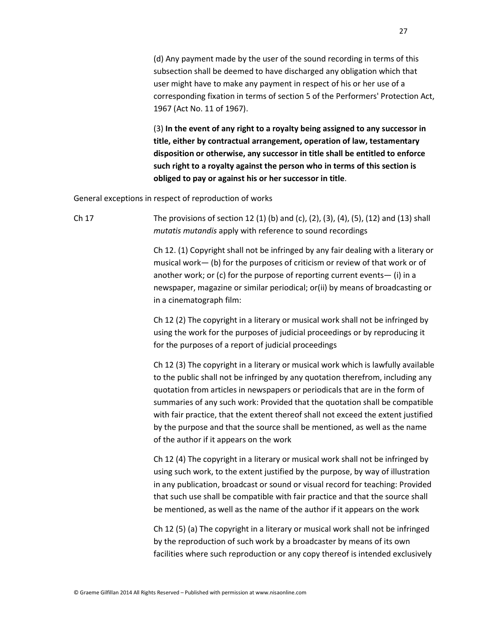(d) Any payment made by the user of the sound recording in terms of this subsection shall be deemed to have discharged any obligation which that user might have to make any payment in respect of his or her use of a corresponding fixation in terms of section 5 of the Performers' Protection Act, 1967 (Act No. 11 of 1967).

(3) **In the event of any right to a royalty being assigned to any successor in title, either by contractual arrangement, operation of law, testamentary disposition or otherwise, any successor in title shall be entitled to enforce such right to a royalty against the person who in terms of this section is obliged to pay or against his or her successor in title**.

General exceptions in respect of reproduction of works

Ch 17 The provisions of section 12 (1) (b) and (c), (2), (3), (4), (5), (12) and (13) shall *mutatis mutandis* apply with reference to sound recordings

> Ch 12. (1) Copyright shall not be infringed by any fair dealing with a literary or musical work— (b) for the purposes of criticism or review of that work or of another work; or (c) for the purpose of reporting current events— (i) in a newspaper, magazine or similar periodical; or(ii) by means of broadcasting or in a cinematograph film:

 Ch 12 (2) The copyright in a literary or musical work shall not be infringed by using the work for the purposes of judicial proceedings or by reproducing it for the purposes of a report of judicial proceedings

 Ch 12 (3) The copyright in a literary or musical work which is lawfully available to the public shall not be infringed by any quotation therefrom, including any quotation from articles in newspapers or periodicals that are in the form of summaries of any such work: Provided that the quotation shall be compatible with fair practice, that the extent thereof shall not exceed the extent justified by the purpose and that the source shall be mentioned, as well as the name of the author if it appears on the work

 Ch 12 (4) The copyright in a literary or musical work shall not be infringed by using such work, to the extent justified by the purpose, by way of illustration in any publication, broadcast or sound or visual record for teaching: Provided that such use shall be compatible with fair practice and that the source shall be mentioned, as well as the name of the author if it appears on the work

 Ch 12 (5) (a) The copyright in a literary or musical work shall not be infringed by the reproduction of such work by a broadcaster by means of its own facilities where such reproduction or any copy thereof is intended exclusively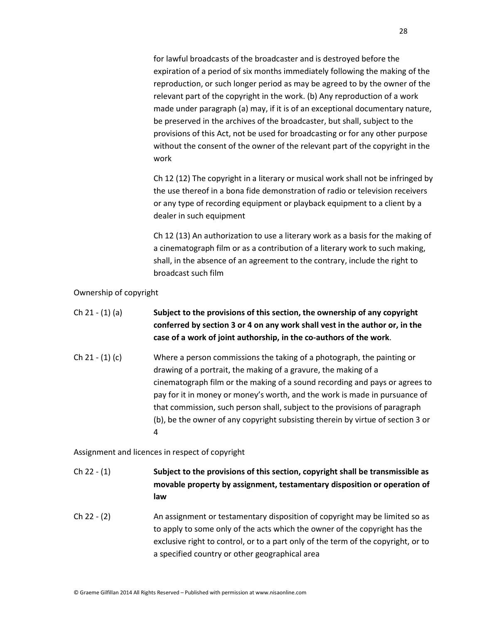for lawful broadcasts of the broadcaster and is destroyed before the expiration of a period of six months immediately following the making of the reproduction, or such longer period as may be agreed to by the owner of the relevant part of the copyright in the work. (b) Any reproduction of a work made under paragraph (a) may, if it is of an exceptional documentary nature, be preserved in the archives of the broadcaster, but shall, subject to the provisions of this Act, not be used for broadcasting or for any other purpose without the consent of the owner of the relevant part of the copyright in the work

 Ch 12 (12) The copyright in a literary or musical work shall not be infringed by the use thereof in a bona fide demonstration of radio or television receivers or any type of recording equipment or playback equipment to a client by a dealer in such equipment

 Ch 12 (13) An authorization to use a literary work as a basis for the making of a cinematograph film or as a contribution of a literary work to such making, shall, in the absence of an agreement to the contrary, include the right to broadcast such film

Ownership of copyright

- Ch 21 (1) (a) **Subject to the provisions of this section, the ownership of any copyright conferred by section 3 or 4 on any work shall vest in the author or, in the case of a work of joint authorship, in the co-authors of the work**. Ch 21 - (1) (c) Where a person commissions the taking of a photograph, the painting or
- drawing of a portrait, the making of a gravure, the making of a cinematograph film or the making of a sound recording and pays or agrees to pay for it in money or money's worth, and the work is made in pursuance of that commission, such person shall, subject to the provisions of paragraph (b), be the owner of any copyright subsisting therein by virtue of section 3 or 4

Assignment and licences in respect of copyright

- Ch 22 (1) **Subject to the provisions of this section, copyright shall be transmissible as movable property by assignment, testamentary disposition or operation of law**
- Ch 22 (2) An assignment or testamentary disposition of copyright may be limited so as to apply to some only of the acts which the owner of the copyright has the exclusive right to control, or to a part only of the term of the copyright, or to a specified country or other geographical area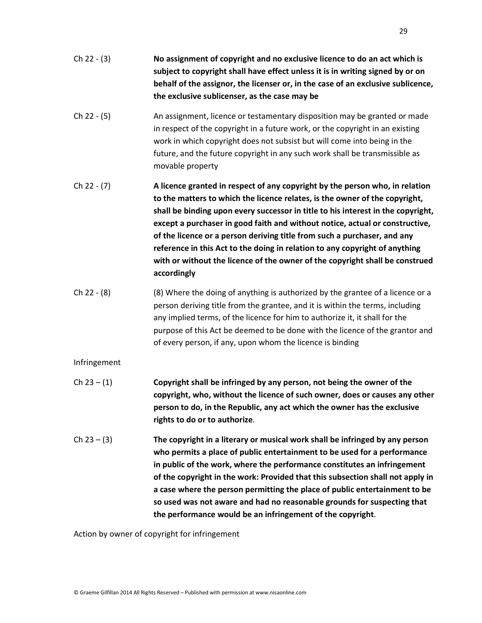- Ch 22 (3) **No assignment of copyright and no exclusive licence to do an act which is subject to copyright shall have effect unless it is in writing signed by or on behalf of the assignor, the licenser or, in the case of an exclusive sublicence, the exclusive sublicenser, as the case may be**
- Ch 22 (5) An assignment, licence or testamentary disposition may be granted or made in respect of the copyright in a future work, or the copyright in an existing work in which copyright does not subsist but will come into being in the future, and the future copyright in any such work shall be transmissible as movable property
- Ch 22 (7) **A licence granted in respect of any copyright by the person who, in relation to the matters to which the licence relates, is the owner of the copyright, shall be binding upon every successor in title to his interest in the copyright, except a purchaser in good faith and without notice, actual or constructive, of the licence or a person deriving title from such a purchaser, and any reference in this Act to the doing in relation to any copyright of anything with or without the licence of the owner of the copyright shall be construed accordingly**
- Ch 22  $(8)$  (8) Where the doing of anything is authorized by the grantee of a licence or a person deriving title from the grantee, and it is within the terms, including any implied terms, of the licence for him to authorize it, it shall for the purpose of this Act be deemed to be done with the licence of the grantor and of every person, if any, upon whom the licence is binding

### Infringement

- Ch 23 (1) **Copyright shall be infringed by any person, not being the owner of the copyright, who, without the licence of such owner, does or causes any other person to do, in the Republic, any act which the owner has the exclusive rights to do or to authorize**.
- Ch 23 (3) **The copyright in a literary or musical work shall be infringed by any person who permits a place of public entertainment to be used for a performance in public of the work, where the performance constitutes an infringement of the copyright in the work: Provided that this subsection shall not apply in a case where the person permitting the place of public entertainment to be so used was not aware and had no reasonable grounds for suspecting that the performance would be an infringement of the copyright**.

Action by owner of copyright for infringement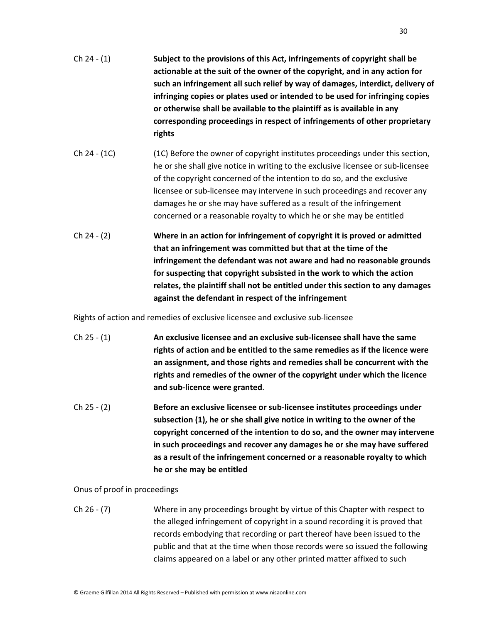- Ch 24 (1) **Subject to the provisions of this Act, infringements of copyright shall be actionable at the suit of the owner of the copyright, and in any action for such an infringement all such relief by way of damages, interdict, delivery of infringing copies or plates used or intended to be used for infringing copies or otherwise shall be available to the plaintiff as is available in any corresponding proceedings in respect of infringements of other proprietary rights**
- Ch 24 (1C) (1C) Before the owner of copyright institutes proceedings under this section, he or she shall give notice in writing to the exclusive licensee or sub-licensee of the copyright concerned of the intention to do so, and the exclusive licensee or sub-licensee may intervene in such proceedings and recover any damages he or she may have suffered as a result of the infringement concerned or a reasonable royalty to which he or she may be entitled
- Ch 24 (2) **Where in an action for infringement of copyright it is proved or admitted that an infringement was committed but that at the time of the infringement the defendant was not aware and had no reasonable grounds for suspecting that copyright subsisted in the work to which the action relates, the plaintiff shall not be entitled under this section to any damages against the defendant in respect of the infringement**

Rights of action and remedies of exclusive licensee and exclusive sub-licensee

- Ch 25 (1) **An exclusive licensee and an exclusive sub-licensee shall have the same rights of action and be entitled to the same remedies as if the licence were an assignment, and those rights and remedies shall be concurrent with the rights and remedies of the owner of the copyright under which the licence and sub-licence were granted**.
- Ch 25 (2) **Before an exclusive licensee or sub-licensee institutes proceedings under subsection (1), he or she shall give notice in writing to the owner of the copyright concerned of the intention to do so, and the owner may intervene in such proceedings and recover any damages he or she may have suffered as a result of the infringement concerned or a reasonable royalty to which he or she may be entitled**

Onus of proof in proceedings

Ch 26 - (7) Where in any proceedings brought by virtue of this Chapter with respect to the alleged infringement of copyright in a sound recording it is proved that records embodying that recording or part thereof have been issued to the public and that at the time when those records were so issued the following claims appeared on a label or any other printed matter affixed to such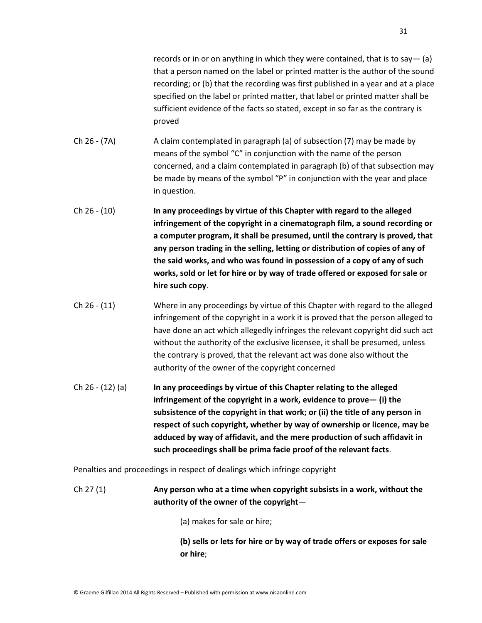records or in or on anything in which they were contained, that is to say  $-$  (a) that a person named on the label or printed matter is the author of the sound recording; or (b) that the recording was first published in a year and at a place specified on the label or printed matter, that label or printed matter shall be sufficient evidence of the facts so stated, except in so far as the contrary is proved

- Ch 26 (7A) A claim contemplated in paragraph (a) of subsection (7) may be made by means of the symbol "C" in conjunction with the name of the person concerned, and a claim contemplated in paragraph (b) of that subsection may be made by means of the symbol "P" in conjunction with the year and place in question.
- Ch 26 (10) **In any proceedings by virtue of this Chapter with regard to the alleged infringement of the copyright in a cinematograph film, a sound recording or a computer program, it shall be presumed, until the contrary is proved, that any person trading in the selling, letting or distribution of copies of any of the said works, and who was found in possession of a copy of any of such works, sold or let for hire or by way of trade offered or exposed for sale or hire such copy**.
- Ch 26 (11) Where in any proceedings by virtue of this Chapter with regard to the alleged infringement of the copyright in a work it is proved that the person alleged to have done an act which allegedly infringes the relevant copyright did such act without the authority of the exclusive licensee, it shall be presumed, unless the contrary is proved, that the relevant act was done also without the authority of the owner of the copyright concerned
- Ch 26 (12) (a) **In any proceedings by virtue of this Chapter relating to the alleged infringement of the copyright in a work, evidence to prove— (i) the subsistence of the copyright in that work; or (ii) the title of any person in respect of such copyright, whether by way of ownership or licence, may be adduced by way of affidavit, and the mere production of such affidavit in such proceedings shall be prima facie proof of the relevant facts**.

Penalties and proceedings in respect of dealings which infringe copyright

- Ch 27 (1) **Any person who at a time when copyright subsists in a work, without the authority of the owner of the copyright**—
	- (a) makes for sale or hire;

**(b) sells or lets for hire or by way of trade offers or exposes for sale or hire**;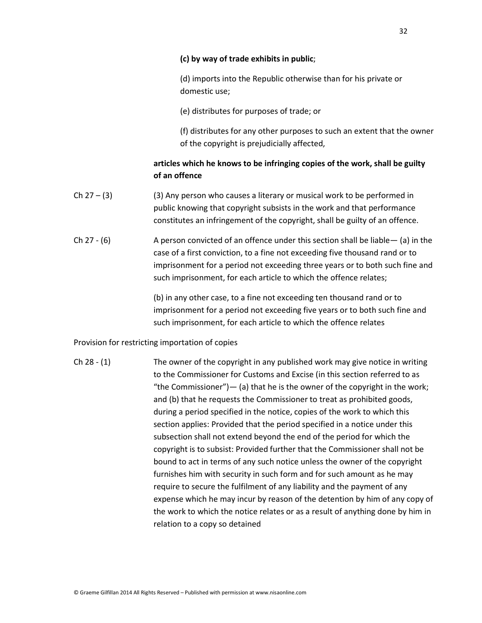### **(c) by way of trade exhibits in public**;

(d) imports into the Republic otherwise than for his private or domestic use;

(e) distributes for purposes of trade; or

(f) distributes for any other purposes to such an extent that the owner of the copyright is prejudicially affected,

### **articles which he knows to be infringing copies of the work, shall be guilty of an offence**

- Ch  $27 (3)$  (3) Any person who causes a literary or musical work to be performed in public knowing that copyright subsists in the work and that performance constitutes an infringement of the copyright, shall be guilty of an offence.
- Ch 27  $(6)$  A person convicted of an offence under this section shall be liable— (a) in the case of a first conviction, to a fine not exceeding five thousand rand or to imprisonment for a period not exceeding three years or to both such fine and such imprisonment, for each article to which the offence relates;

(b) in any other case, to a fine not exceeding ten thousand rand or to imprisonment for a period not exceeding five years or to both such fine and such imprisonment, for each article to which the offence relates

Provision for restricting importation of copies

Ch 28 - (1) The owner of the copyright in any published work may give notice in writing to the Commissioner for Customs and Excise (in this section referred to as "the Commissioner") $-$  (a) that he is the owner of the copyright in the work; and (b) that he requests the Commissioner to treat as prohibited goods, during a period specified in the notice, copies of the work to which this section applies: Provided that the period specified in a notice under this subsection shall not extend beyond the end of the period for which the copyright is to subsist: Provided further that the Commissioner shall not be bound to act in terms of any such notice unless the owner of the copyright furnishes him with security in such form and for such amount as he may require to secure the fulfilment of any liability and the payment of any expense which he may incur by reason of the detention by him of any copy of the work to which the notice relates or as a result of anything done by him in relation to a copy so detained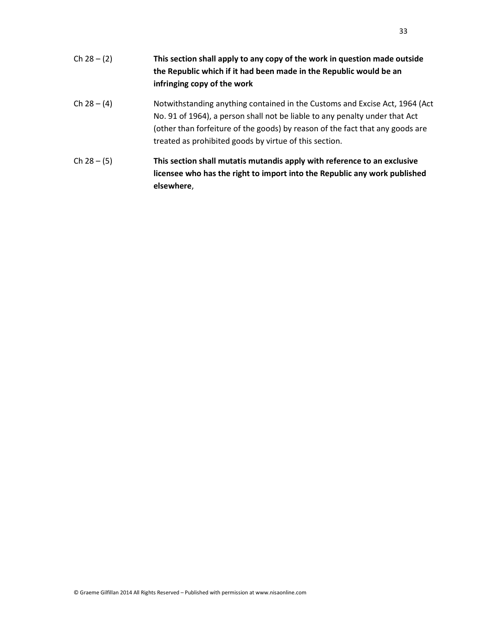| $Ch 28 - (2)$ | This section shall apply to any copy of the work in question made outside<br>the Republic which if it had been made in the Republic would be an<br>infringing copy of the work                                                                                                                        |
|---------------|-------------------------------------------------------------------------------------------------------------------------------------------------------------------------------------------------------------------------------------------------------------------------------------------------------|
| $Ch 28 - (4)$ | Notwithstanding anything contained in the Customs and Excise Act, 1964 (Act<br>No. 91 of 1964), a person shall not be liable to any penalty under that Act<br>(other than forfeiture of the goods) by reason of the fact that any goods are<br>treated as prohibited goods by virtue of this section. |
| $Ch 28 - (5)$ | This section shall mutatis mutandis apply with reference to an exclusive<br>licensee who has the right to import into the Republic any work published<br>elsewhere,                                                                                                                                   |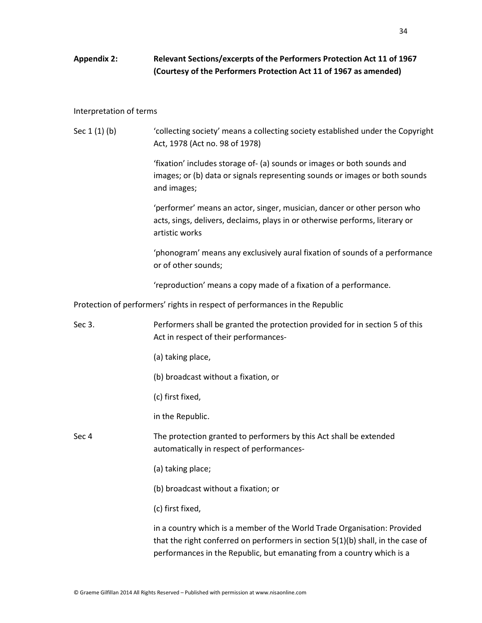## **Appendix 2: Relevant Sections/excerpts of the Performers Protection Act 11 of 1967 (Courtesy of the Performers Protection Act 11 of 1967 as amended)**

#### Interpretation of terms

| Sec $1(1)(b)$ | 'collecting society' means a collecting society established under the Copyright |
|---------------|---------------------------------------------------------------------------------|
|               | Act, 1978 (Act no. 98 of 1978)                                                  |

'fixation' includes storage of- (a) sounds or images or both sounds and images; or (b) data or signals representing sounds or images or both sounds and images;

'performer' means an actor, singer, musician, dancer or other person who acts, sings, delivers, declaims, plays in or otherwise performs, literary or artistic works

'phonogram' means any exclusively aural fixation of sounds of a performance or of other sounds;

'reproduction' means a copy made of a fixation of a performance.

Protection of performers' rights in respect of performances in the Republic

Sec 3. Performers shall be granted the protection provided for in section 5 of this Act in respect of their performances-

(a) taking place,

(b) broadcast without a fixation, or

(c) first fixed,

in the Republic.

Sec 4 The protection granted to performers by this Act shall be extended automatically in respect of performances-

(a) taking place;

(b) broadcast without a fixation; or

(c) first fixed,

in a country which is a member of the World Trade Organisation: Provided that the right conferred on performers in section 5(1)(b) shall, in the case of performances in the Republic, but emanating from a country which is a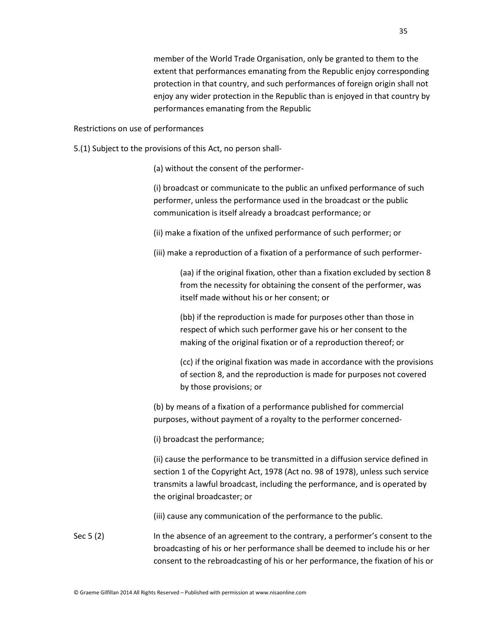member of the World Trade Organisation, only be granted to them to the extent that performances emanating from the Republic enjoy corresponding protection in that country, and such performances of foreign origin shall not enjoy any wider protection in the Republic than is enjoyed in that country by performances emanating from the Republic

#### Restrictions on use of performances

5.(1) Subject to the provisions of this Act, no person shall-

(a) without the consent of the performer-

(i) broadcast or communicate to the public an unfixed performance of such performer, unless the performance used in the broadcast or the public communication is itself already a broadcast performance; or

(ii) make a fixation of the unfixed performance of such performer; or

(iii) make a reproduction of a fixation of a performance of such performer-

(aa) if the original fixation, other than a fixation excluded by section 8 from the necessity for obtaining the consent of the performer, was itself made without his or her consent; or

(bb) if the reproduction is made for purposes other than those in respect of which such performer gave his or her consent to the making of the original fixation or of a reproduction thereof; or

(cc) if the original fixation was made in accordance with the provisions of section 8, and the reproduction is made for purposes not covered by those provisions; or

(b) by means of a fixation of a performance published for commercial purposes, without payment of a royalty to the performer concerned-

(i) broadcast the performance;

(ii) cause the performance to be transmitted in a diffusion service defined in section 1 of the Copyright Act, 1978 (Act no. 98 of 1978), unless such service transmits a lawful broadcast, including the performance, and is operated by the original broadcaster; or

(iii) cause any communication of the performance to the public.

Sec 5 (2) In the absence of an agreement to the contrary, a performer's consent to the broadcasting of his or her performance shall be deemed to include his or her consent to the rebroadcasting of his or her performance, the fixation of his or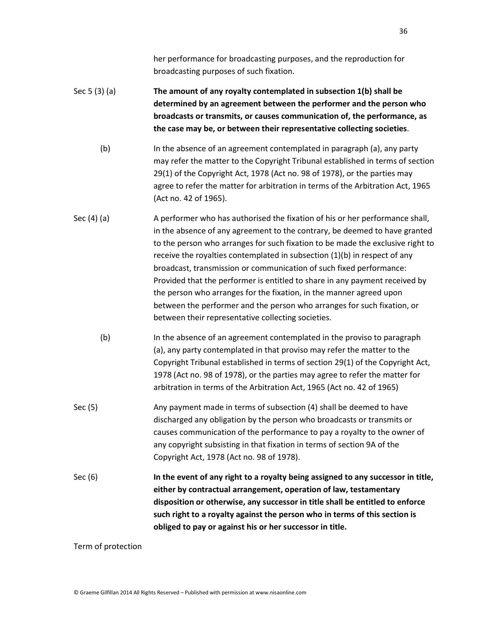her performance for broadcasting purposes, and the reproduction for broadcasting purposes of such fixation.

## Sec 5 (3) (a) **The amount of any royalty contemplated in subsection 1(b) shall be determined by an agreement between the performer and the person who broadcasts or transmits, or causes communication of, the performance, as the case may be, or between their representative collecting societies**.

(b) In the absence of an agreement contemplated in paragraph (a), any party may refer the matter to the Copyright Tribunal established in terms of section 29(1) of the Copyright Act, 1978 (Act no. 98 of 1978), or the parties may agree to refer the matter for arbitration in terms of the Arbitration Act, 1965 (Act no. 42 of 1965).

- Sec (4) (a) A performer who has authorised the fixation of his or her performance shall, in the absence of any agreement to the contrary, be deemed to have granted to the person who arranges for such fixation to be made the exclusive right to receive the royalties contemplated in subsection (1)(b) in respect of any broadcast, transmission or communication of such fixed performance: Provided that the performer is entitled to share in any payment received by the person who arranges for the fixation, in the manner agreed upon between the performer and the person who arranges for such fixation, or between their representative collecting societies.
	- (b) In the absence of an agreement contemplated in the proviso to paragraph (a), any party contemplated in that proviso may refer the matter to the Copyright Tribunal established in terms of section 29(1) of the Copyright Act, 1978 (Act no. 98 of 1978), or the parties may agree to refer the matter for arbitration in terms of the Arbitration Act, 1965 (Act no. 42 of 1965)
- Sec (5) Any payment made in terms of subsection (4) shall be deemed to have discharged any obligation by the person who broadcasts or transmits or causes communication of the performance to pay a royalty to the owner of any copyright subsisting in that fixation in terms of section 9A of the Copyright Act, 1978 (Act no. 98 of 1978).
- Sec (6) **In the event of any right to a royalty being assigned to any successor in title, either by contractual arrangement, operation of law, testamentary disposition or otherwise, any successor in title shall be entitled to enforce such right to a royalty against the person who in terms of this section is obliged to pay or against his or her successor in title.**

Term of protection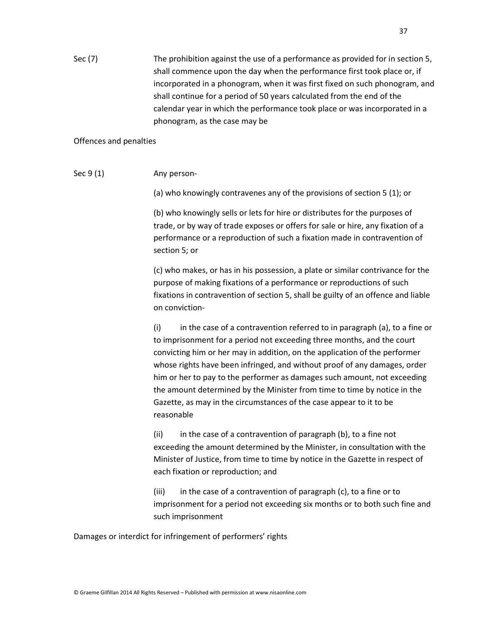Sec (7) The prohibition against the use of a performance as provided for in section 5, shall commence upon the day when the performance first took place or, if incorporated in a phonogram, when it was first fixed on such phonogram, and shall continue for a period of 50 years calculated from the end of the calendar year in which the performance took place or was incorporated in a phonogram, as the case may be

### Offences and penalties

Sec 9 (1) Any person-

(a) who knowingly contravenes any of the provisions of section 5 (1); or

(b) who knowingly sells or lets for hire or distributes for the purposes of trade, or by way of trade exposes or offers for sale or hire, any fixation of a performance or a reproduction of such a fixation made in contravention of section 5; or

(c) who makes, or has in his possession, a plate or similar contrivance for the purpose of making fixations of a performance or reproductions of such fixations in contravention of section 5, shall be guilty of an offence and liable on conviction-

(i) in the case of a contravention referred to in paragraph (a), to a fine or to imprisonment for a period not exceeding three months, and the court convicting him or her may in addition, on the application of the performer whose rights have been infringed, and without proof of any damages, order him or her to pay to the performer as damages such amount, not exceeding the amount determined by the Minister from time to time by notice in the Gazette, as may in the circumstances of the case appear to it to be reasonable

(ii) in the case of a contravention of paragraph (b), to a fine not exceeding the amount determined by the Minister, in consultation with the Minister of Justice, from time to time by notice in the Gazette in respect of each fixation or reproduction; and

(iii) in the case of a contravention of paragraph (c), to a fine or to imprisonment for a period not exceeding six months or to both such fine and such imprisonment

Damages or interdict for infringement of performers' rights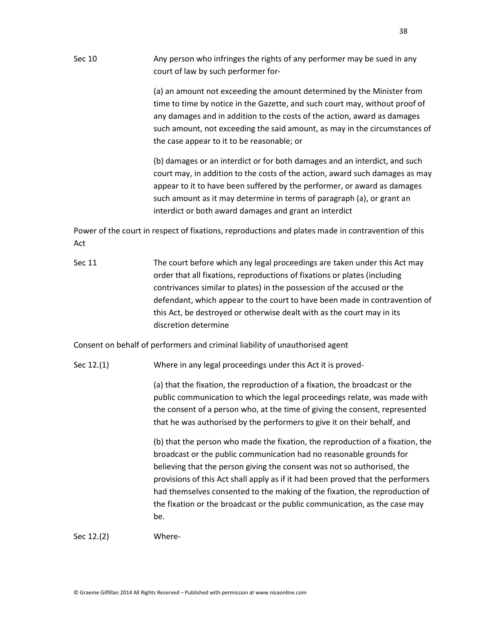Sec 10 Any person who infringes the rights of any performer may be sued in any court of law by such performer for-

> (a) an amount not exceeding the amount determined by the Minister from time to time by notice in the Gazette, and such court may, without proof of any damages and in addition to the costs of the action, award as damages such amount, not exceeding the said amount, as may in the circumstances of the case appear to it to be reasonable; or

> (b) damages or an interdict or for both damages and an interdict, and such court may, in addition to the costs of the action, award such damages as may appear to it to have been suffered by the performer, or award as damages such amount as it may determine in terms of paragraph (a), or grant an interdict or both award damages and grant an interdict

Power of the court in respect of fixations, reproductions and plates made in contravention of this Act

Sec 11 The court before which any legal proceedings are taken under this Act may order that all fixations, reproductions of fixations or plates (including contrivances similar to plates) in the possession of the accused or the defendant, which appear to the court to have been made in contravention of this Act, be destroyed or otherwise dealt with as the court may in its discretion determine

Consent on behalf of performers and criminal liability of unauthorised agent

Sec 12.(1) Where in any legal proceedings under this Act it is proved-

(a) that the fixation, the reproduction of a fixation, the broadcast or the public communication to which the legal proceedings relate, was made with the consent of a person who, at the time of giving the consent, represented that he was authorised by the performers to give it on their behalf, and

(b) that the person who made the fixation, the reproduction of a fixation, the broadcast or the public communication had no reasonable grounds for believing that the person giving the consent was not so authorised, the provisions of this Act shall apply as if it had been proved that the performers had themselves consented to the making of the fixation, the reproduction of the fixation or the broadcast or the public communication, as the case may be.

Sec 12.(2) Where-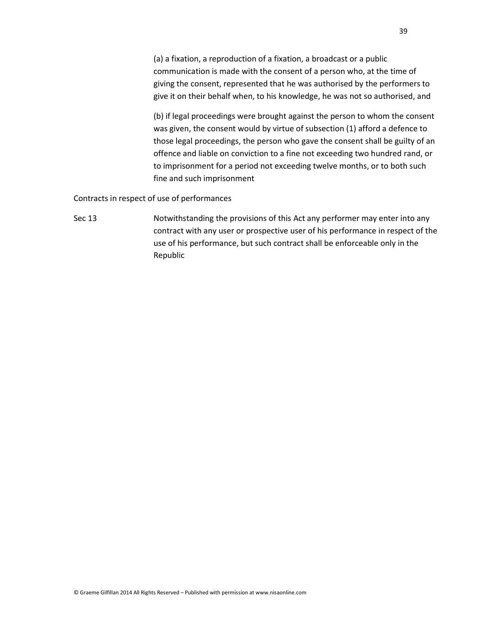(a) a fixation, a reproduction of a fixation, a broadcast or a public communication is made with the consent of a person who, at the time of giving the consent, represented that he was authorised by the performers to give it on their behalf when, to his knowledge, he was not so authorised, and

(b) if legal proceedings were brought against the person to whom the consent was given, the consent would by virtue of subsection (1) afford a defence to those legal proceedings, the person who gave the consent shall be guilty of an offence and liable on conviction to a fine not exceeding two hundred rand, or to imprisonment for a period not exceeding twelve months, or to both such fine and such imprisonment

Contracts in respect of use of performances

Sec 13 Notwithstanding the provisions of this Act any performer may enter into any contract with any user or prospective user of his performance in respect of the use of his performance, but such contract shall be enforceable only in the Republic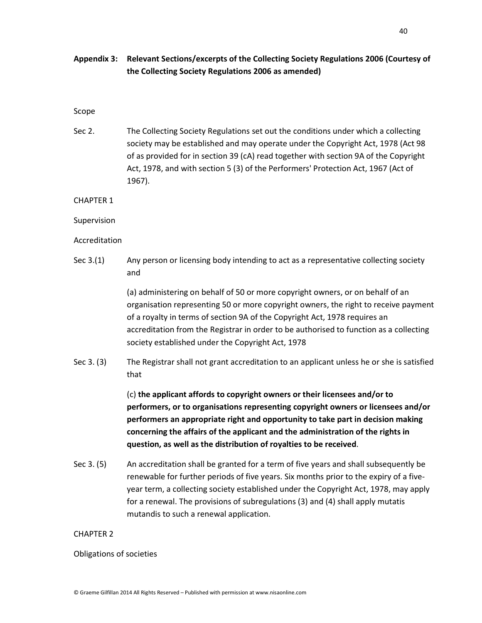## **Appendix 3: Relevant Sections/excerpts of the Collecting Society Regulations 2006 (Courtesy of the Collecting Society Regulations 2006 as amended)**

### Scope

Sec 2. The Collecting Society Regulations set out the conditions under which a collecting society may be established and may operate under the Copyright Act, 1978 (Act 98 of as provided for in section 39 (cA) read together with section 9A of the Copyright Act, 1978, and with section 5 (3) of the Performers' Protection Act, 1967 (Act of 1967).

CHAPTER 1

Supervision

Accreditation

Sec 3.(1) Any person or licensing body intending to act as a representative collecting society and

> (a) administering on behalf of 50 or more copyright owners, or on behalf of an organisation representing 50 or more copyright owners, the right to receive payment of a royalty in terms of section 9A of the Copyright Act, 1978 requires an accreditation from the Registrar in order to be authorised to function as a collecting society established under the Copyright Act, 1978

Sec 3. (3) The Registrar shall not grant accreditation to an applicant unless he or she is satisfied that

> (c) **the applicant affords to copyright owners or their licensees and/or to performers, or to organisations representing copyright owners or licensees and/or performers an appropriate right and opportunity to take part in decision making concerning the affairs of the applicant and the administration of the rights in question, as well as the distribution of royalties to be received**.

Sec 3. (5) An accreditation shall be granted for a term of five years and shall subsequently be renewable for further periods of five years. Six months prior to the expiry of a fiveyear term, a collecting society established under the Copyright Act, 1978, may apply for a renewal. The provisions of subregulations (3) and (4) shall apply mutatis mutandis to such a renewal application.

### CHAPTER 2

#### Obligations of societies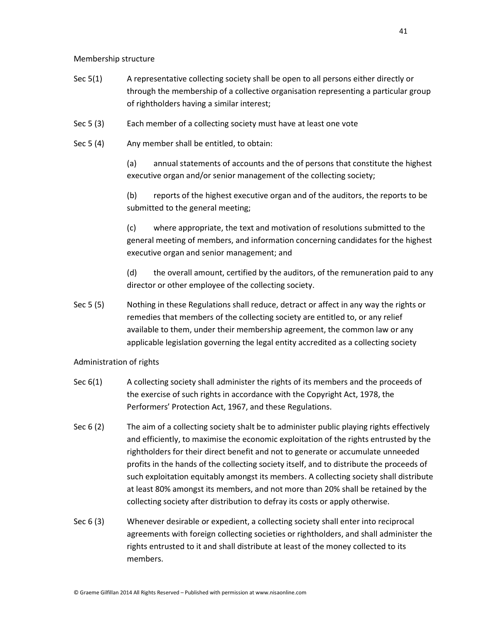Membership structure

- Sec 5(1) A representative collecting society shall be open to all persons either directly or through the membership of a collective organisation representing a particular group of rightholders having a similar interest;
- Sec 5 (3) Each member of a collecting society must have at least one vote
- Sec 5 (4) Any member shall be entitled, to obtain:

(a) annual statements of accounts and the of persons that constitute the highest executive organ and/or senior management of the collecting society;

(b) reports of the highest executive organ and of the auditors, the reports to be submitted to the general meeting;

(c) where appropriate, the text and motivation of resolutions submitted to the general meeting of members, and information concerning candidates for the highest executive organ and senior management; and

(d) the overall amount, certified by the auditors, of the remuneration paid to any director or other employee of the collecting society.

Sec 5 (5) Nothing in these Regulations shall reduce, detract or affect in any way the rights or remedies that members of the collecting society are entitled to, or any relief available to them, under their membership agreement, the common law or any applicable legislation governing the legal entity accredited as a collecting society

### Administration of rights

- Sec 6(1) A collecting society shall administer the rights of its members and the proceeds of the exercise of such rights in accordance with the Copyright Act, 1978, the Performers' Protection Act, 1967, and these Regulations.
- Sec 6 (2) The aim of a collecting society shalt be to administer public playing rights effectively and efficiently, to maximise the economic exploitation of the rights entrusted by the rightholders for their direct benefit and not to generate or accumulate unneeded profits in the hands of the collecting society itself, and to distribute the proceeds of such exploitation equitably amongst its members. A collecting society shall distribute at least 80% amongst its members, and not more than 20% shall be retained by the collecting society after distribution to defray its costs or apply otherwise.
- Sec 6 (3) Whenever desirable or expedient, a collecting society shall enter into reciprocal agreements with foreign collecting societies or rightholders, and shall administer the rights entrusted to it and shall distribute at least of the money collected to its members.